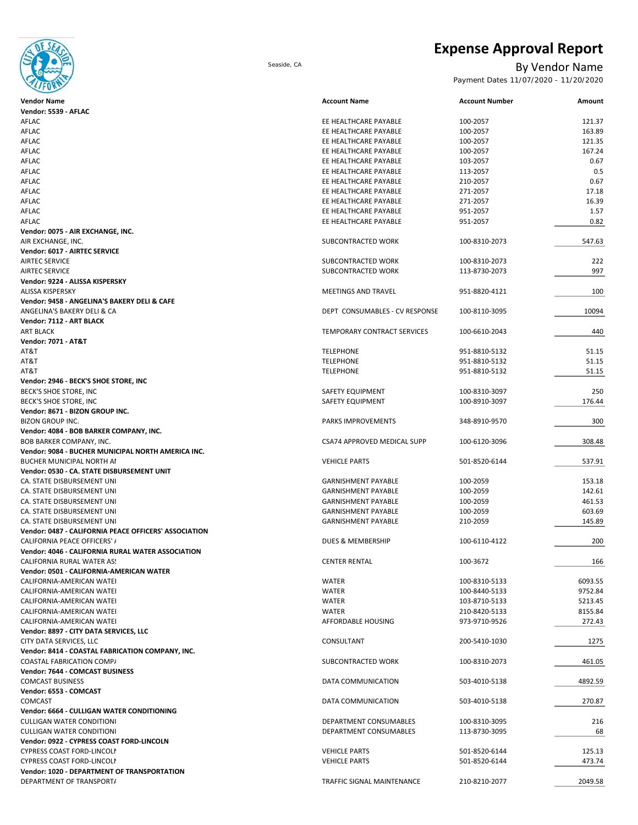# **Expense Approval Report**

## Seaside, CA By Vendor Name

Payment Dates 11/07/2020 - 11/20/2020

| Vendor Name                                           | <b>Account Name</b>            | <b>Account Number</b> | Amount     |
|-------------------------------------------------------|--------------------------------|-----------------------|------------|
| Vendor: 5539 - AFLAC                                  |                                |                       |            |
| AFLAC                                                 | EE HEALTHCARE PAYABLE          | 100-2057              | 121.37     |
| AFLAC                                                 | EE HEALTHCARE PAYABLE          | 100-2057              | 163.89     |
| AFLAC                                                 | EE HEALTHCARE PAYABLE          | 100-2057              | 121.35     |
| AFLAC                                                 | EE HEALTHCARE PAYABLE          | 100-2057              | 167.24     |
| AFLAC                                                 | EE HEALTHCARE PAYABLE          | 103-2057              | 0.67       |
| AFLAC                                                 | EE HEALTHCARE PAYABLE          | 113-2057              | 0.5        |
| AFLAC                                                 | EE HEALTHCARE PAYABLE          | 210-2057              | 0.67       |
| AFLAC                                                 | EE HEALTHCARE PAYABLE          | 271-2057              | 17.18      |
| AFLAC                                                 | EE HEALTHCARE PAYABLE          | 271-2057              | 16.39      |
| AFLAC                                                 | EE HEALTHCARE PAYABLE          | 951-2057              | 1.57       |
| AFLAC                                                 | EE HEALTHCARE PAYABLE          | 951-2057              | 0.82       |
| Vendor: 0075 - AIR EXCHANGE, INC.                     |                                |                       |            |
| AIR EXCHANGE, INC.                                    | SUBCONTRACTED WORK             | 100-8310-2073         | 547.63     |
| Vendor: 6017 - AIRTEC SERVICE                         |                                |                       |            |
| AIRTEC SERVICE                                        | SUBCONTRACTED WORK             | 100-8310-2073         |            |
|                                                       |                                |                       | 222<br>997 |
| AIRTEC SERVICE                                        | SUBCONTRACTED WORK             | 113-8730-2073         |            |
| Vendor: 9224 - ALISSA KISPERSKY                       |                                |                       |            |
| ALISSA KISPERSKY                                      | MEETINGS AND TRAVEL            | 951-8820-4121         | 100        |
| Vendor: 9458 - ANGELINA'S BAKERY DELI & CAFE          |                                |                       |            |
| ANGELINA'S BAKERY DELI & CA                           | DEPT CONSUMABLES - CV RESPONSE | 100-8110-3095         | 10094      |
| Vendor: 7112 - ART BLACK                              |                                |                       |            |
| ART BLACK                                             | TEMPORARY CONTRACT SERVICES    | 100-6610-2043         | 440        |
| Vendor: 7071 - AT&T                                   |                                |                       |            |
| AT&T                                                  | <b>TELEPHONE</b>               | 951-8810-5132         | 51.15      |
| AT&T                                                  | <b>TELEPHONE</b>               | 951-8810-5132         | 51.15      |
| AT&T                                                  | <b>TELEPHONE</b>               | 951-8810-5132         | 51.15      |
| Vendor: 2946 - BECK'S SHOE STORE, INC                 |                                |                       |            |
| BECK'S SHOE STORE, INC                                | SAFETY EQUIPMENT               | 100-8310-3097         | 250        |
| BECK'S SHOE STORE, INC                                | SAFETY EQUIPMENT               | 100-8910-3097         | 176.44     |
| Vendor: 8671 - BIZON GROUP INC.                       |                                |                       |            |
| BIZON GROUP INC.                                      | PARKS IMPROVEMENTS             | 348-8910-9570         | 300        |
| Vendor: 4084 - BOB BARKER COMPANY, INC.               |                                |                       |            |
| BOB BARKER COMPANY, INC.                              | CSA74 APPROVED MEDICAL SUPP    | 100-6120-3096         | 308.48     |
| Vendor: 9084 - BUCHER MUNICIPAL NORTH AMERICA INC.    |                                |                       |            |
| BUCHER MUNICIPAL NORTH AI                             | <b>VEHICLE PARTS</b>           | 501-8520-6144         | 537.91     |
| Vendor: 0530 - CA. STATE DISBURSEMENT UNIT            |                                |                       |            |
|                                                       |                                |                       |            |
| CA. STATE DISBURSEMENT UNI                            | <b>GARNISHMENT PAYABLE</b>     | 100-2059              | 153.18     |
| CA. STATE DISBURSEMENT UNI                            | <b>GARNISHMENT PAYABLE</b>     | 100-2059              | 142.61     |
| CA. STATE DISBURSEMENT UNI                            | <b>GARNISHMENT PAYABLE</b>     | 100-2059              | 461.53     |
| CA. STATE DISBURSEMENT UNI                            | <b>GARNISHMENT PAYABLE</b>     | 100-2059              | 603.69     |
| CA. STATE DISBURSEMENT UNI                            | <b>GARNISHMENT PAYABLE</b>     | 210-2059              | 145.89     |
| Vendor: 0487 - CALIFORNIA PEACE OFFICERS' ASSOCIATION |                                |                       |            |
| CALIFORNIA PEACE OFFICERS' /                          | DUES & MEMBERSHIP              | 100-6110-4122         | 200        |
| Vendor: 4046 - CALIFORNIA RURAL WATER ASSOCIATION     |                                |                       |            |
| CALIFORNIA RURAL WATER AS!                            | <b>CENTER RENTAL</b>           | 100-3672              | 166        |
| Vendor: 0501 - CALIFORNIA-AMERICAN WATER              |                                |                       |            |
| CALIFORNIA-AMERICAN WATEI                             | WATER                          | 100-8310-5133         | 6093.55    |
| CALIFORNIA-AMERICAN WATEI                             | WATER                          | 100-8440-5133         | 9752.84    |
| CALIFORNIA-AMERICAN WATEI                             | WATER                          | 103-8710-5133         | 5213.45    |
| CALIFORNIA-AMERICAN WATEI                             | WATER                          | 210-8420-5133         | 8155.84    |
| CALIFORNIA-AMERICAN WATEI                             | AFFORDABLE HOUSING             | 973-9710-9526         | 272.43     |
| Vendor: 8897 - CITY DATA SERVICES, LLC                |                                |                       |            |
| CITY DATA SERVICES, LLC                               | CONSULTANT                     | 200-5410-1030         | 1275       |
| Vendor: 8414 - COASTAL FABRICATION COMPANY, INC.      |                                |                       |            |
| COASTAL FABRICATION COMP/                             |                                |                       |            |
| Vendor: 7644 - COMCAST BUSINESS                       | SUBCONTRACTED WORK             | 100-8310-2073         | 461.05     |
|                                                       |                                |                       |            |
| COMCAST BUSINESS                                      | DATA COMMUNICATION             | 503-4010-5138         | 4892.59    |
| Vendor: 6553 - COMCAST                                |                                |                       |            |
| COMCAST                                               | DATA COMMUNICATION             | 503-4010-5138         | 270.87     |
| Vendor: 6664 - CULLIGAN WATER CONDITIONING            |                                |                       |            |
| CULLIGAN WATER CONDITIONI                             | DEPARTMENT CONSUMABLES         | 100-8310-3095         | 216        |
| CULLIGAN WATER CONDITIONI                             | DEPARTMENT CONSUMABLES         | 113-8730-3095         | 68         |
| Vendor: 0922 - CYPRESS COAST FORD-LINCOLN             |                                |                       |            |
| CYPRESS COAST FORD-LINCOLM                            | <b>VEHICLE PARTS</b>           | 501-8520-6144         | 125.13     |
| CYPRESS COAST FORD-LINCOLM                            | <b>VEHICLE PARTS</b>           | 501-8520-6144         | 473.74     |
| Vendor: 1020 - DEPARTMENT OF TRANSPORTATION           |                                |                       |            |
| DEPARTMENT OF TRANSPORT/                              | TRAFFIC SIGNAL MAINTENANCE     | 210-8210-2077         | 2049.58    |
|                                                       |                                |                       |            |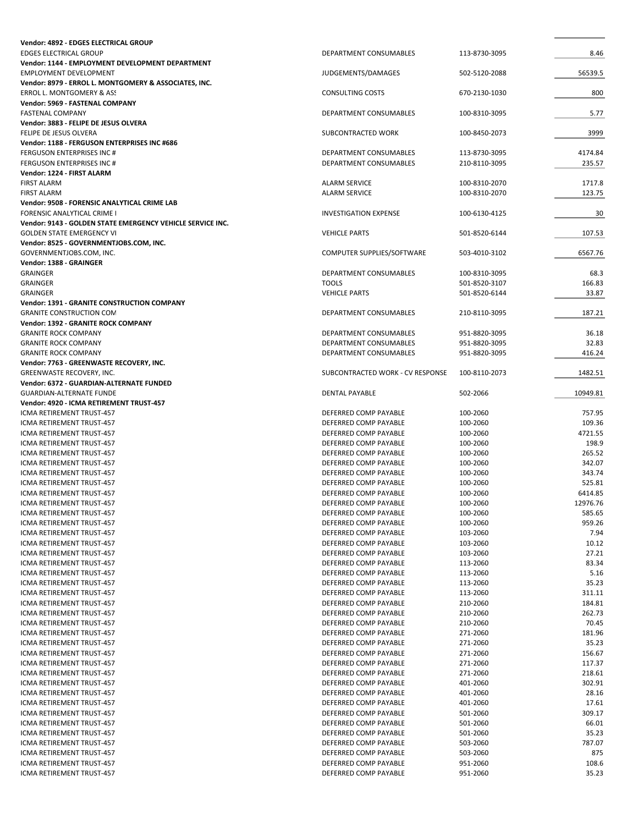| Vendor: 4892 - EDGES ELECTRICAL GROUP<br><b>EDGES ELECTRICAL GROUP</b>      | DEPARTMENT CONSUMABLES                         | 113-8730-3095                  | 8.46               |
|-----------------------------------------------------------------------------|------------------------------------------------|--------------------------------|--------------------|
| Vendor: 1144 - EMPLOYMENT DEVELOPMENT DEPARTMENT                            |                                                |                                |                    |
| <b>EMPLOYMENT DEVELOPMENT</b>                                               | JUDGEMENTS/DAMAGES                             | 502-5120-2088                  | 56539.5            |
| Vendor: 8979 - ERROL L. MONTGOMERY & ASSOCIATES, INC.                       |                                                |                                |                    |
| <b>ERROL L. MONTGOMERY &amp; ASS</b>                                        | <b>CONSULTING COSTS</b>                        | 670-2130-1030                  | 800                |
| Vendor: 5969 - FASTENAL COMPANY                                             |                                                |                                |                    |
| <b>FASTENAL COMPANY</b>                                                     | DEPARTMENT CONSUMABLES                         | 100-8310-3095                  | 5.77               |
| Vendor: 3883 - FELIPE DE JESUS OLVERA<br>FELIPE DE JESUS OLVERA             | SUBCONTRACTED WORK                             | 100-8450-2073                  | 3999               |
| Vendor: 1188 - FERGUSON ENTERPRISES INC #686                                |                                                |                                |                    |
| FERGUSON ENTERPRISES INC#                                                   | DEPARTMENT CONSUMABLES                         | 113-8730-3095                  | 4174.84            |
| FERGUSON ENTERPRISES INC#                                                   | DEPARTMENT CONSUMABLES                         | 210-8110-3095                  | 235.57             |
| Vendor: 1224 - FIRST ALARM                                                  |                                                |                                |                    |
| <b>FIRST ALARM</b>                                                          | <b>ALARM SERVICE</b>                           | 100-8310-2070                  | 1717.8             |
| <b>FIRST ALARM</b>                                                          | <b>ALARM SERVICE</b>                           | 100-8310-2070                  | 123.75             |
| Vendor: 9508 - FORENSIC ANALYTICAL CRIME LAB<br>FORENSIC ANALYTICAL CRIME I | <b>INVESTIGATION EXPENSE</b>                   | 100-6130-4125                  | 30                 |
| Vendor: 9143 - GOLDEN STATE EMERGENCY VEHICLE SERVICE INC.                  |                                                |                                |                    |
| <b>GOLDEN STATE EMERGENCY VI</b>                                            | <b>VEHICLE PARTS</b>                           | 501-8520-6144                  | 107.53             |
| Vendor: 8525 - GOVERNMENTJOBS.COM, INC.                                     |                                                |                                |                    |
| GOVERNMENTJOBS.COM, INC.                                                    | COMPUTER SUPPLIES/SOFTWARE                     | 503-4010-3102                  | 6567.76            |
| Vendor: 1388 - GRAINGER                                                     |                                                |                                |                    |
| <b>GRAINGER</b>                                                             | DEPARTMENT CONSUMABLES                         | 100-8310-3095                  | 68.3               |
| <b>GRAINGER</b><br><b>GRAINGER</b>                                          | <b>TOOLS</b><br><b>VEHICLE PARTS</b>           | 501-8520-3107<br>501-8520-6144 | 166.83<br>33.87    |
| Vendor: 1391 - GRANITE CONSTRUCTION COMPANY                                 |                                                |                                |                    |
| <b>GRANITE CONSTRUCTION COM</b>                                             | DEPARTMENT CONSUMABLES                         | 210-8110-3095                  | 187.21             |
| Vendor: 1392 - GRANITE ROCK COMPANY                                         |                                                |                                |                    |
| <b>GRANITE ROCK COMPANY</b>                                                 | DEPARTMENT CONSUMABLES                         | 951-8820-3095                  | 36.18              |
| <b>GRANITE ROCK COMPANY</b>                                                 | DEPARTMENT CONSUMABLES                         | 951-8820-3095                  | 32.83              |
| <b>GRANITE ROCK COMPANY</b><br>Vendor: 7763 - GREENWASTE RECOVERY, INC.     | DEPARTMENT CONSUMABLES                         | 951-8820-3095                  | 416.24             |
| GREENWASTE RECOVERY, INC.                                                   | SUBCONTRACTED WORK - CV RESPONSE               | 100-8110-2073                  | 1482.51            |
| Vendor: 6372 - GUARDIAN-ALTERNATE FUNDED                                    |                                                |                                |                    |
| <b>GUARDIAN-ALTERNATE FUNDE</b>                                             | DENTAL PAYABLE                                 | 502-2066                       | 10949.81           |
| Vendor: 4920 - ICMA RETIREMENT TRUST-457                                    |                                                |                                |                    |
| ICMA RETIREMENT TRUST-457                                                   | DEFERRED COMP PAYABLE                          | 100-2060                       | 757.95             |
| ICMA RETIREMENT TRUST-457<br>ICMA RETIREMENT TRUST-457                      | DEFERRED COMP PAYABLE<br>DEFERRED COMP PAYABLE | 100-2060<br>100-2060           | 109.36<br>4721.55  |
| ICMA RETIREMENT TRUST-457                                                   | DEFERRED COMP PAYABLE                          | 100-2060                       | 198.9              |
| ICMA RETIREMENT TRUST-457                                                   | DEFERRED COMP PAYABLE                          | 100-2060                       | 265.52             |
| ICMA RETIREMENT TRUST-457                                                   | DEFERRED COMP PAYABLE                          | 100-2060                       | 342.07             |
| ICMA RETIREMENT TRUST-457                                                   | DEFERRED COMP PAYABLE                          | 100-2060                       | 343.74             |
| <b>ICMA RETIREMENT TRUST-457</b>                                            | DEFERRED COMP PAYABLE                          | 100-2060                       | 525.81             |
| <b>ICMA RETIREMENT TRUST-457</b>                                            | DEFERRED COMP PAYABLE                          | 100-2060                       | 6414.85            |
| ICMA RETIREMENT TRUST-457<br>ICMA RETIREMENT TRUST-457                      | DEFERRED COMP PAYABLE<br>DEFERRED COMP PAYABLE | 100-2060<br>100-2060           | 12976.76<br>585.65 |
| ICMA RETIREMENT TRUST-457                                                   | DEFERRED COMP PAYABLE                          | 100-2060                       | 959.26             |
| ICMA RETIREMENT TRUST-457                                                   | DEFERRED COMP PAYABLE                          | 103-2060                       | 7.94               |
| ICMA RETIREMENT TRUST-457                                                   | DEFERRED COMP PAYABLE                          | 103-2060                       | 10.12              |
| ICMA RETIREMENT TRUST-457                                                   | DEFERRED COMP PAYABLE                          | 103-2060                       | 27.21              |
| ICMA RETIREMENT TRUST-457                                                   | DEFERRED COMP PAYABLE                          | 113-2060                       | 83.34              |
| ICMA RETIREMENT TRUST-457<br>ICMA RETIREMENT TRUST-457                      | DEFERRED COMP PAYABLE<br>DEFERRED COMP PAYABLE | 113-2060<br>113-2060           | 5.16<br>35.23      |
| ICMA RETIREMENT TRUST-457                                                   | DEFERRED COMP PAYABLE                          | 113-2060                       | 311.11             |
| ICMA RETIREMENT TRUST-457                                                   | DEFERRED COMP PAYABLE                          | 210-2060                       | 184.81             |
| ICMA RETIREMENT TRUST-457                                                   | <b>DEFERRED COMP PAYABLE</b>                   | 210-2060                       | 262.73             |
| <b>ICMA RETIREMENT TRUST-457</b>                                            | DEFERRED COMP PAYABLE                          | 210-2060                       | 70.45              |
| ICMA RETIREMENT TRUST-457                                                   | DEFERRED COMP PAYABLE                          | 271-2060                       | 181.96             |
| ICMA RETIREMENT TRUST-457                                                   | DEFERRED COMP PAYABLE                          | 271-2060                       | 35.23              |
| ICMA RETIREMENT TRUST-457<br>ICMA RETIREMENT TRUST-457                      | DEFERRED COMP PAYABLE<br>DEFERRED COMP PAYABLE | 271-2060<br>271-2060           | 156.67<br>117.37   |
| ICMA RETIREMENT TRUST-457                                                   | DEFERRED COMP PAYABLE                          | 271-2060                       | 218.61             |
| ICMA RETIREMENT TRUST-457                                                   | DEFERRED COMP PAYABLE                          | 401-2060                       | 302.91             |
| ICMA RETIREMENT TRUST-457                                                   | DEFERRED COMP PAYABLE                          | 401-2060                       | 28.16              |
| ICMA RETIREMENT TRUST-457                                                   | DEFERRED COMP PAYABLE                          | 401-2060                       | 17.61              |
| ICMA RETIREMENT TRUST-457                                                   | DEFERRED COMP PAYABLE                          | 501-2060                       | 309.17             |
| ICMA RETIREMENT TRUST-457<br>ICMA RETIREMENT TRUST-457                      | DEFERRED COMP PAYABLE<br>DEFERRED COMP PAYABLE | 501-2060<br>501-2060           | 66.01<br>35.23     |
| ICMA RETIREMENT TRUST-457                                                   | DEFERRED COMP PAYABLE                          | 503-2060                       | 787.07             |
| ICMA RETIREMENT TRUST-457                                                   | DEFERRED COMP PAYABLE                          | 503-2060                       | 875                |
| ICMA RETIREMENT TRUST-457                                                   | DEFERRED COMP PAYABLE                          | 951-2060                       | 108.6              |
| ICMA RETIREMENT TRUST-457                                                   | DEFERRED COMP PAYABLE                          | 951-2060                       | 35.23              |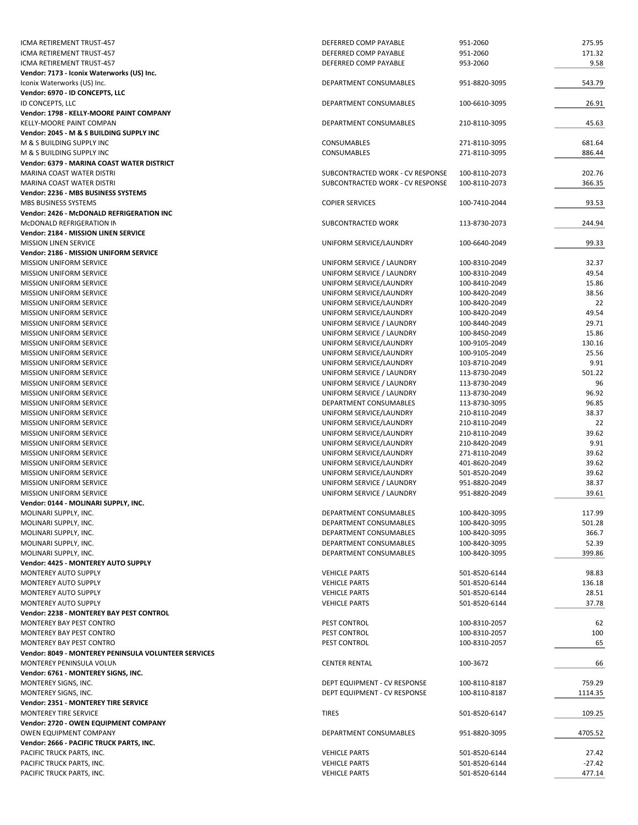| ICMA RETIREMENT TRUST-457                            | DEFERRED COMP PAYABLE            | 951-2060      | 275.95   |
|------------------------------------------------------|----------------------------------|---------------|----------|
| ICMA RETIREMENT TRUST-457                            | DEFERRED COMP PAYABLE            | 951-2060      | 171.32   |
| ICMA RETIREMENT TRUST-457                            | DEFERRED COMP PAYABLE            | 953-2060      | 9.58     |
| Vendor: 7173 - Iconix Waterworks (US) Inc.           |                                  |               |          |
| Iconix Waterworks (US) Inc.                          | DEPARTMENT CONSUMABLES           | 951-8820-3095 | 543.79   |
| Vendor: 6970 - ID CONCEPTS, LLC                      |                                  |               |          |
| ID CONCEPTS, LLC                                     | DEPARTMENT CONSUMABLES           | 100-6610-3095 | 26.91    |
| Vendor: 1798 - KELLY-MOORE PAINT COMPANY             |                                  |               |          |
| KELLY-MOORE PAINT COMPAN                             | DEPARTMENT CONSUMABLES           | 210-8110-3095 | 45.63    |
| Vendor: 2045 - M & S BUILDING SUPPLY INC             |                                  |               |          |
|                                                      |                                  |               |          |
| M & S BUILDING SUPPLY INC                            | CONSUMABLES                      | 271-8110-3095 | 681.64   |
| M & S BUILDING SUPPLY INC                            | CONSUMABLES                      | 271-8110-3095 | 886.44   |
| Vendor: 6379 - MARINA COAST WATER DISTRICT           |                                  |               |          |
| MARINA COAST WATER DISTRI                            | SUBCONTRACTED WORK - CV RESPONSE | 100-8110-2073 | 202.76   |
| MARINA COAST WATER DISTRI                            | SUBCONTRACTED WORK - CV RESPONSE | 100-8110-2073 | 366.35   |
| Vendor: 2236 - MBS BUSINESS SYSTEMS                  |                                  |               |          |
| MBS BUSINESS SYSTEMS                                 | <b>COPIER SERVICES</b>           | 100-7410-2044 | 93.53    |
| Vendor: 2426 - McDONALD REFRIGERATION INC            |                                  |               |          |
| McDONALD REFRIGERATION IN                            | SUBCONTRACTED WORK               | 113-8730-2073 | 244.94   |
| Vendor: 2184 - MISSION LINEN SERVICE                 |                                  |               |          |
| <b>MISSION LINEN SERVICE</b>                         | UNIFORM SERVICE/LAUNDRY          | 100-6640-2049 | 99.33    |
| Vendor: 2186 - MISSION UNIFORM SERVICE               |                                  |               |          |
| MISSION UNIFORM SERVICE                              | UNIFORM SERVICE / LAUNDRY        | 100-8310-2049 | 32.37    |
|                                                      |                                  |               |          |
| <b>MISSION UNIFORM SERVICE</b>                       | UNIFORM SERVICE / LAUNDRY        | 100-8310-2049 | 49.54    |
| <b>MISSION UNIFORM SERVICE</b>                       | UNIFORM SERVICE/LAUNDRY          | 100-8410-2049 | 15.86    |
| MISSION UNIFORM SERVICE                              | UNIFORM SERVICE/LAUNDRY          | 100-8420-2049 | 38.56    |
| MISSION UNIFORM SERVICE                              | UNIFORM SERVICE/LAUNDRY          | 100-8420-2049 | 22       |
| MISSION UNIFORM SERVICE                              | UNIFORM SERVICE/LAUNDRY          | 100-8420-2049 | 49.54    |
| <b>MISSION UNIFORM SERVICE</b>                       | UNIFORM SERVICE / LAUNDRY        | 100-8440-2049 | 29.71    |
| <b>MISSION UNIFORM SERVICE</b>                       | UNIFORM SERVICE / LAUNDRY        | 100-8450-2049 | 15.86    |
| MISSION UNIFORM SERVICE                              | UNIFORM SERVICE/LAUNDRY          | 100-9105-2049 | 130.16   |
| MISSION UNIFORM SERVICE                              | UNIFORM SERVICE/LAUNDRY          | 100-9105-2049 | 25.56    |
| MISSION UNIFORM SERVICE                              | UNIFORM SERVICE/LAUNDRY          | 103-8710-2049 | 9.91     |
|                                                      |                                  |               | 501.22   |
| <b>MISSION UNIFORM SERVICE</b>                       | UNIFORM SERVICE / LAUNDRY        | 113-8730-2049 |          |
| <b>MISSION UNIFORM SERVICE</b>                       | UNIFORM SERVICE / LAUNDRY        | 113-8730-2049 | 96       |
| MISSION UNIFORM SERVICE                              | UNIFORM SERVICE / LAUNDRY        | 113-8730-2049 | 96.92    |
| MISSION UNIFORM SERVICE                              | DEPARTMENT CONSUMABLES           | 113-8730-3095 | 96.85    |
| MISSION UNIFORM SERVICE                              | UNIFORM SERVICE/LAUNDRY          | 210-8110-2049 | 38.37    |
| <b>MISSION UNIFORM SERVICE</b>                       | UNIFORM SERVICE/LAUNDRY          | 210-8110-2049 | 22       |
| <b>MISSION UNIFORM SERVICE</b>                       | UNIFORM SERVICE/LAUNDRY          | 210-8110-2049 | 39.62    |
| MISSION UNIFORM SERVICE                              | UNIFORM SERVICE/LAUNDRY          | 210-8420-2049 | 9.91     |
| <b>MISSION UNIFORM SERVICE</b>                       | UNIFORM SERVICE/LAUNDRY          | 271-8110-2049 | 39.62    |
|                                                      |                                  |               |          |
| MISSION UNIFORM SERVICE                              | UNIFORM SERVICE/LAUNDRY          | 401-8620-2049 | 39.62    |
| MISSION UNIFORM SERVICE                              | UNIFORM SERVICE/LAUNDRY          | 501-8520-2049 | 39.62    |
| <b>MISSION UNIFORM SERVICE</b>                       | UNIFORM SERVICE / LAUNDRY        | 951-8820-2049 | 38.37    |
| MISSION UNIFORM SERVICE                              | UNIFORM SERVICE / LAUNDRY        | 951-8820-2049 | 39.61    |
| Vendor: 0144 - MOLINARI SUPPLY, INC.                 |                                  |               |          |
| MOLINARI SUPPLY, INC.                                | DEPARTMENT CONSUMABLES           | 100-8420-3095 | 117.99   |
| MOLINARI SUPPLY, INC.                                | DEPARTMENT CONSUMABLES           | 100-8420-3095 | 501.28   |
| MOLINARI SUPPLY, INC.                                | DEPARTMENT CONSUMABLES           | 100-8420-3095 | 366.7    |
| MOLINARI SUPPLY, INC.                                | DEPARTMENT CONSUMABLES           | 100-8420-3095 | 52.39    |
| MOLINARI SUPPLY, INC.                                | DEPARTMENT CONSUMABLES           | 100-8420-3095 | 399.86   |
|                                                      |                                  |               |          |
| Vendor: 4425 - MONTEREY AUTO SUPPLY                  |                                  |               |          |
| MONTEREY AUTO SUPPLY                                 | <b>VEHICLE PARTS</b>             | 501-8520-6144 | 98.83    |
| MONTEREY AUTO SUPPLY                                 | <b>VEHICLE PARTS</b>             | 501-8520-6144 | 136.18   |
| MONTEREY AUTO SUPPLY                                 | <b>VEHICLE PARTS</b>             | 501-8520-6144 | 28.51    |
| MONTEREY AUTO SUPPLY                                 | <b>VEHICLE PARTS</b>             | 501-8520-6144 | 37.78    |
| Vendor: 2238 - MONTEREY BAY PEST CONTROL             |                                  |               |          |
| MONTEREY BAY PEST CONTRO                             | PEST CONTROL                     | 100-8310-2057 | 62       |
| MONTEREY BAY PEST CONTRO                             | PEST CONTROL                     | 100-8310-2057 | 100      |
| MONTEREY BAY PEST CONTRO                             | PEST CONTROL                     | 100-8310-2057 | 65       |
| Vendor: 8049 - MONTEREY PENINSULA VOLUNTEER SERVICES |                                  |               |          |
|                                                      |                                  |               |          |
| MONTEREY PENINSULA VOLUN                             | <b>CENTER RENTAL</b>             | 100-3672      | 66       |
| Vendor: 6761 - MONTEREY SIGNS, INC.                  |                                  |               |          |
| MONTEREY SIGNS, INC.                                 | DEPT EQUIPMENT - CV RESPONSE     | 100-8110-8187 | 759.29   |
| MONTEREY SIGNS, INC.                                 | DEPT EQUIPMENT - CV RESPONSE     | 100-8110-8187 | 1114.35  |
| Vendor: 2351 - MONTEREY TIRE SERVICE                 |                                  |               |          |
| MONTEREY TIRE SERVICE                                | <b>TIRES</b>                     | 501-8520-6147 | 109.25   |
| Vendor: 2720 - OWEN EQUIPMENT COMPANY                |                                  |               |          |
| OWEN EQUIPMENT COMPANY                               | DEPARTMENT CONSUMABLES           | 951-8820-3095 | 4705.52  |
| Vendor: 2666 - PACIFIC TRUCK PARTS, INC.             |                                  |               |          |
| PACIFIC TRUCK PARTS, INC.                            | <b>VEHICLE PARTS</b>             | 501-8520-6144 | 27.42    |
|                                                      |                                  |               |          |
| PACIFIC TRUCK PARTS, INC.                            | <b>VEHICLE PARTS</b>             | 501-8520-6144 | $-27.42$ |
| PACIFIC TRUCK PARTS, INC.                            | <b>VEHICLE PARTS</b>             | 501-8520-6144 | 477.14   |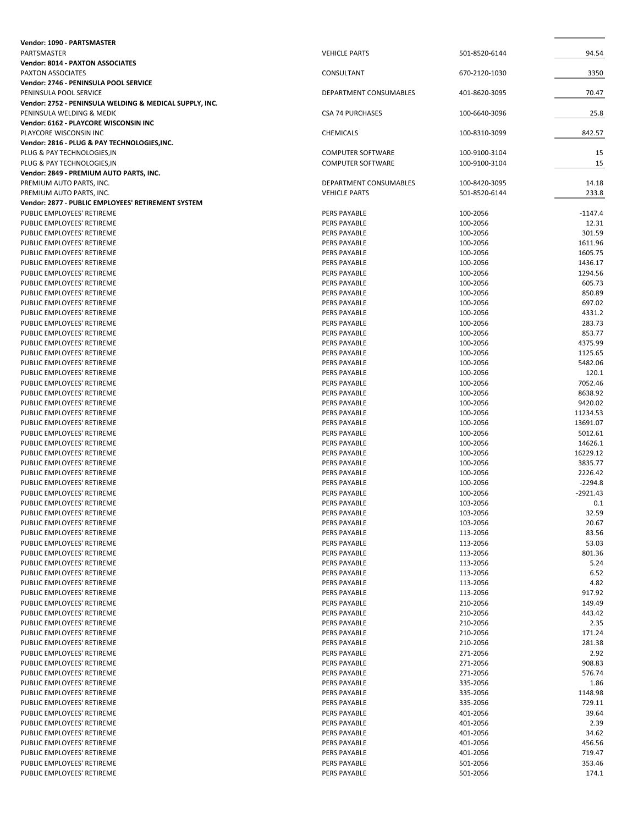| Vendor: 1090 - PARTSMASTER<br>PARTSMASTER                       | <b>VEHICLE PARTS</b>                | 501-8520-6144        | 94.54                |
|-----------------------------------------------------------------|-------------------------------------|----------------------|----------------------|
| <b>Vendor: 8014 - PAXTON ASSOCIATES</b>                         |                                     |                      |                      |
| <b>PAXTON ASSOCIATES</b>                                        | CONSULTANT                          | 670-2120-1030        | 3350                 |
| Vendor: 2746 - PENINSULA POOL SERVICE                           |                                     |                      |                      |
| PENINSULA POOL SERVICE                                          | DEPARTMENT CONSUMABLES              | 401-8620-3095        | 70.47                |
| Vendor: 2752 - PENINSULA WELDING & MEDICAL SUPPLY, INC.         |                                     |                      |                      |
| PENINSULA WELDING & MEDIC                                       | <b>CSA 74 PURCHASES</b>             | 100-6640-3096        | 25.8                 |
| Vendor: 6162 - PLAYCORE WISCONSIN INC<br>PLAYCORE WISCONSIN INC | <b>CHEMICALS</b>                    | 100-8310-3099        | 842.57               |
| Vendor: 2816 - PLUG & PAY TECHNOLOGIES, INC.                    |                                     |                      |                      |
| PLUG & PAY TECHNOLOGIES, IN                                     | <b>COMPUTER SOFTWARE</b>            | 100-9100-3104        | 15                   |
| PLUG & PAY TECHNOLOGIES, IN                                     | <b>COMPUTER SOFTWARE</b>            | 100-9100-3104        | 15                   |
| Vendor: 2849 - PREMIUM AUTO PARTS, INC.                         |                                     |                      |                      |
| PREMIUM AUTO PARTS, INC.                                        | DEPARTMENT CONSUMABLES              | 100-8420-3095        | 14.18                |
| PREMIUM AUTO PARTS, INC.                                        | <b>VEHICLE PARTS</b>                | 501-8520-6144        | 233.8                |
| Vendor: 2877 - PUBLIC EMPLOYEES' RETIREMENT SYSTEM              |                                     |                      |                      |
| PUBLIC EMPLOYEES' RETIREME                                      | PERS PAYABLE                        | 100-2056             | $-1147.4$<br>12.31   |
| PUBLIC EMPLOYEES' RETIREME<br>PUBLIC EMPLOYEES' RETIREME        | PERS PAYABLE<br><b>PERS PAYABLE</b> | 100-2056<br>100-2056 | 301.59               |
| PUBLIC EMPLOYEES' RETIREME                                      | PERS PAYABLE                        | 100-2056             | 1611.96              |
| PUBLIC EMPLOYEES' RETIREME                                      | <b>PERS PAYABLE</b>                 | 100-2056             | 1605.75              |
| PUBLIC EMPLOYEES' RETIREME                                      | PERS PAYABLE                        | 100-2056             | 1436.17              |
| PUBLIC EMPLOYEES' RETIREME                                      | PERS PAYABLE                        | 100-2056             | 1294.56              |
| PUBLIC EMPLOYEES' RETIREME                                      | <b>PERS PAYABLE</b>                 | 100-2056             | 605.73               |
| PUBLIC EMPLOYEES' RETIREME                                      | PERS PAYABLE                        | 100-2056             | 850.89               |
| PUBLIC EMPLOYEES' RETIREME                                      | <b>PERS PAYABLE</b>                 | 100-2056             | 697.02               |
| PUBLIC EMPLOYEES' RETIREME<br>PUBLIC EMPLOYEES' RETIREME        | PERS PAYABLE<br>PERS PAYABLE        | 100-2056             | 4331.2<br>283.73     |
| PUBLIC EMPLOYEES' RETIREME                                      | <b>PERS PAYABLE</b>                 | 100-2056<br>100-2056 | 853.77               |
| PUBLIC EMPLOYEES' RETIREME                                      | PERS PAYABLE                        | 100-2056             | 4375.99              |
| PUBLIC EMPLOYEES' RETIREME                                      | <b>PERS PAYABLE</b>                 | 100-2056             | 1125.65              |
| PUBLIC EMPLOYEES' RETIREME                                      | PERS PAYABLE                        | 100-2056             | 5482.06              |
| PUBLIC EMPLOYEES' RETIREME                                      | PERS PAYABLE                        | 100-2056             | 120.1                |
| PUBLIC EMPLOYEES' RETIREME                                      | <b>PERS PAYABLE</b>                 | 100-2056             | 7052.46              |
| PUBLIC EMPLOYEES' RETIREME                                      | PERS PAYABLE                        | 100-2056             | 8638.92              |
| PUBLIC EMPLOYEES' RETIREME                                      | <b>PERS PAYABLE</b>                 | 100-2056             | 9420.02              |
| PUBLIC EMPLOYEES' RETIREME<br>PUBLIC EMPLOYEES' RETIREME        | PERS PAYABLE<br><b>PERS PAYABLE</b> | 100-2056<br>100-2056 | 11234.53<br>13691.07 |
| PUBLIC EMPLOYEES' RETIREME                                      | <b>PERS PAYABLE</b>                 | 100-2056             | 5012.61              |
| PUBLIC EMPLOYEES' RETIREME                                      | PERS PAYABLE                        | 100-2056             | 14626.1              |
| PUBLIC EMPLOYEES' RETIREME                                      | PERS PAYABLE                        | 100-2056             | 16229.12             |
| PUBLIC EMPLOYEES' RETIREME                                      | PERS PAYABLE                        | 100-2056             | 3835.77              |
| PUBLIC EMPLOYEES' RETIREME                                      | <b>PERS PAYABLE</b>                 | 100-2056             | 2226.42              |
| PUBLIC EMPLOYEES' RETIREME                                      | PERS PAYABLE                        | 100-2056             | $-2294.8$            |
| PUBLIC EMPLOYEES' RETIREME                                      | PERS PAYABLE                        | 100-2056             | $-2921.43$           |
| PUBLIC EMPLOYEES' RETIREME<br>PUBLIC EMPLOYEES' RETIREME        | PERS PAYABLE<br>PERS PAYABLE        | 103-2056<br>103-2056 | 0.1<br>32.59         |
| PUBLIC EMPLOYEES' RETIREME                                      | PERS PAYABLE                        | 103-2056             | 20.67                |
| PUBLIC EMPLOYEES' RETIREME                                      | PERS PAYABLE                        | 113-2056             | 83.56                |
| PUBLIC EMPLOYEES' RETIREME                                      | PERS PAYABLE                        | 113-2056             | 53.03                |
| PUBLIC EMPLOYEES' RETIREME                                      | PERS PAYABLE                        | 113-2056             | 801.36               |
| PUBLIC EMPLOYEES' RETIREME                                      | PERS PAYABLE                        | 113-2056             | 5.24                 |
| PUBLIC EMPLOYEES' RETIREME                                      | PERS PAYABLE                        | 113-2056             | 6.52                 |
| PUBLIC EMPLOYEES' RETIREME                                      | PERS PAYABLE                        | 113-2056             | 4.82                 |
| PUBLIC EMPLOYEES' RETIREME                                      | PERS PAYABLE                        | 113-2056             | 917.92               |
| PUBLIC EMPLOYEES' RETIREME<br>PUBLIC EMPLOYEES' RETIREME        | PERS PAYABLE<br>PERS PAYABLE        | 210-2056<br>210-2056 | 149.49<br>443.42     |
| PUBLIC EMPLOYEES' RETIREME                                      | PERS PAYABLE                        | 210-2056             | 2.35                 |
| PUBLIC EMPLOYEES' RETIREME                                      | PERS PAYABLE                        | 210-2056             | 171.24               |
| PUBLIC EMPLOYEES' RETIREME                                      | PERS PAYABLE                        | 210-2056             | 281.38               |
| PUBLIC EMPLOYEES' RETIREME                                      | PERS PAYABLE                        | 271-2056             | 2.92                 |
| PUBLIC EMPLOYEES' RETIREME                                      | PERS PAYABLE                        | 271-2056             | 908.83               |
| PUBLIC EMPLOYEES' RETIREME                                      | PERS PAYABLE                        | 271-2056             | 576.74               |
| PUBLIC EMPLOYEES' RETIREME                                      | PERS PAYABLE                        | 335-2056             | 1.86                 |
| PUBLIC EMPLOYEES' RETIREME                                      | PERS PAYABLE                        | 335-2056             | 1148.98              |
| PUBLIC EMPLOYEES' RETIREME<br>PUBLIC EMPLOYEES' RETIREME        | PERS PAYABLE<br>PERS PAYABLE        | 335-2056<br>401-2056 | 729.11<br>39.64      |
| PUBLIC EMPLOYEES' RETIREME                                      | PERS PAYABLE                        | 401-2056             | 2.39                 |
| PUBLIC EMPLOYEES' RETIREME                                      | PERS PAYABLE                        | 401-2056             | 34.62                |
| PUBLIC EMPLOYEES' RETIREME                                      | PERS PAYABLE                        | 401-2056             | 456.56               |
| PUBLIC EMPLOYEES' RETIREME                                      | PERS PAYABLE                        | 401-2056             | 719.47               |
| PUBLIC EMPLOYEES' RETIREME                                      | PERS PAYABLE                        | 501-2056             | 353.46               |
| PUBLIC EMPLOYEES' RETIREME                                      | PERS PAYABLE                        | 501-2056             | 174.1                |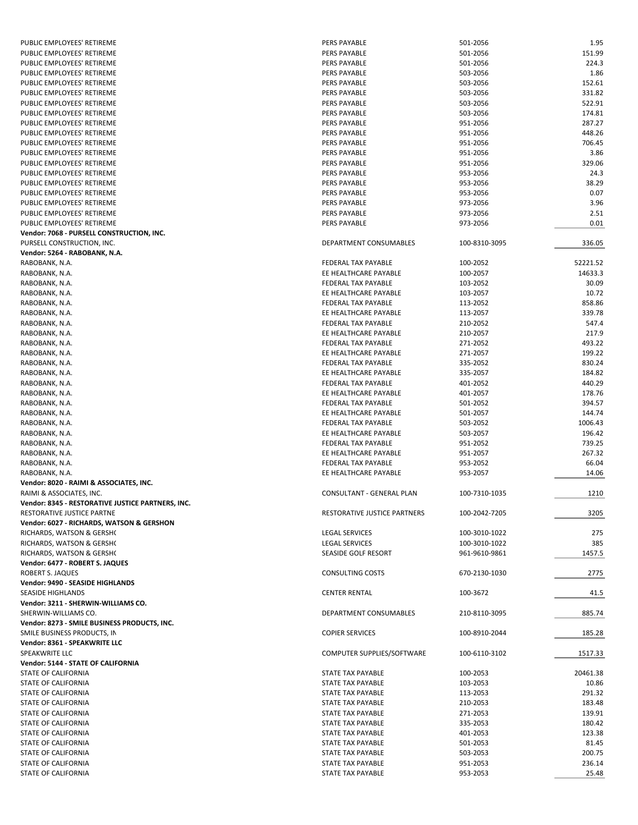| PUBLIC EMPLOYEES' RETIREME                        | PERS PAYABLE                 | 501-2056      | 1.95     |
|---------------------------------------------------|------------------------------|---------------|----------|
| PUBLIC EMPLOYEES' RETIREME                        | PERS PAYABLE                 | 501-2056      | 151.99   |
| PUBLIC EMPLOYEES' RETIREME                        | PERS PAYABLE                 | 501-2056      | 224.3    |
| PUBLIC EMPLOYEES' RETIREME                        | PERS PAYABLE                 | 503-2056      | 1.86     |
| PUBLIC EMPLOYEES' RETIREME                        | PERS PAYABLE                 | 503-2056      | 152.61   |
| PUBLIC EMPLOYEES' RETIREME                        | PERS PAYABLE                 | 503-2056      | 331.82   |
| PUBLIC EMPLOYEES' RETIREME                        | PERS PAYABLE                 | 503-2056      | 522.91   |
| PUBLIC EMPLOYEES' RETIREME                        | PERS PAYABLE                 | 503-2056      | 174.81   |
| PUBLIC EMPLOYEES' RETIREME                        | PERS PAYABLE                 | 951-2056      | 287.27   |
| PUBLIC EMPLOYEES' RETIREME                        | PERS PAYABLE                 | 951-2056      | 448.26   |
| PUBLIC EMPLOYEES' RETIREME                        | PERS PAYABLE                 | 951-2056      | 706.45   |
| PUBLIC EMPLOYEES' RETIREME                        | PERS PAYABLE                 | 951-2056      | 3.86     |
| PUBLIC EMPLOYEES' RETIREME                        | PERS PAYABLE                 | 951-2056      | 329.06   |
| PUBLIC EMPLOYEES' RETIREME                        | PERS PAYABLE                 | 953-2056      | 24.3     |
| PUBLIC EMPLOYEES' RETIREME                        | PERS PAYABLE                 | 953-2056      | 38.29    |
| PUBLIC EMPLOYEES' RETIREME                        | PERS PAYABLE                 | 953-2056      | 0.07     |
| PUBLIC EMPLOYEES' RETIREME                        | PERS PAYABLE                 | 973-2056      | 3.96     |
| PUBLIC EMPLOYEES' RETIREME                        | PERS PAYABLE                 | 973-2056      | 2.51     |
| PUBLIC EMPLOYEES' RETIREME                        | PERS PAYABLE                 | 973-2056      | 0.01     |
| Vendor: 7068 - PURSELL CONSTRUCTION, INC.         |                              |               |          |
| PURSELL CONSTRUCTION, INC.                        | DEPARTMENT CONSUMABLES       | 100-8310-3095 | 336.05   |
| Vendor: 5264 - RABOBANK, N.A.                     |                              |               |          |
| RABOBANK, N.A.                                    | FEDERAL TAX PAYABLE          | 100-2052      | 52221.52 |
| RABOBANK, N.A.                                    | EE HEALTHCARE PAYABLE        | 100-2057      | 14633.3  |
| RABOBANK, N.A.                                    | FEDERAL TAX PAYABLE          | 103-2052      | 30.09    |
|                                                   |                              |               |          |
| RABOBANK, N.A.                                    | EE HEALTHCARE PAYABLE        | 103-2057      | 10.72    |
| RABOBANK, N.A.                                    | FEDERAL TAX PAYABLE          | 113-2052      | 858.86   |
| RABOBANK, N.A.                                    | EE HEALTHCARE PAYABLE        | 113-2057      | 339.78   |
| RABOBANK, N.A.                                    | FEDERAL TAX PAYABLE          | 210-2052      | 547.4    |
| RABOBANK, N.A.                                    | EE HEALTHCARE PAYABLE        | 210-2057      | 217.9    |
| RABOBANK, N.A.                                    | FEDERAL TAX PAYABLE          | 271-2052      | 493.22   |
| RABOBANK, N.A.                                    | EE HEALTHCARE PAYABLE        | 271-2057      | 199.22   |
| RABOBANK, N.A.                                    | FEDERAL TAX PAYABLE          | 335-2052      | 830.24   |
| RABOBANK, N.A.                                    | EE HEALTHCARE PAYABLE        | 335-2057      | 184.82   |
| RABOBANK, N.A.                                    | FEDERAL TAX PAYABLE          | 401-2052      | 440.29   |
| RABOBANK, N.A.                                    | EE HEALTHCARE PAYABLE        | 401-2057      | 178.76   |
| RABOBANK, N.A.                                    | FEDERAL TAX PAYABLE          | 501-2052      | 394.57   |
| RABOBANK, N.A.                                    | EE HEALTHCARE PAYABLE        | 501-2057      | 144.74   |
| RABOBANK, N.A.                                    | FEDERAL TAX PAYABLE          | 503-2052      | 1006.43  |
| RABOBANK, N.A.                                    | EE HEALTHCARE PAYABLE        | 503-2057      | 196.42   |
| RABOBANK, N.A.                                    | FEDERAL TAX PAYABLE          | 951-2052      | 739.25   |
| RABOBANK, N.A.                                    | EE HEALTHCARE PAYABLE        | 951-2057      | 267.32   |
| RABOBANK, N.A.                                    | FEDERAL TAX PAYABLE          | 953-2052      | 66.04    |
| RABOBANK, N.A.                                    | EE HEALTHCARE PAYABLE        | 953-2057      | 14.06    |
| Vendor: 8020 - RAIMI & ASSOCIATES, INC.           |                              |               |          |
| RAIMI & ASSOCIATES, INC.                          | CONSULTANT - GENERAL PLAN    | 100-7310-1035 | 1210     |
| Vendor: 8345 - RESTORATIVE JUSTICE PARTNERS, INC. |                              |               |          |
| RESTORATIVE JUSTICE PARTNE                        | RESTORATIVE JUSTICE PARTNERS | 100-2042-7205 | 3205     |
| Vendor: 6027 - RICHARDS, WATSON & GERSHON         |                              |               |          |
| RICHARDS, WATSON & GERSHO                         | <b>LEGAL SERVICES</b>        | 100-3010-1022 | 275      |
| RICHARDS, WATSON & GERSH(                         | LEGAL SERVICES               | 100-3010-1022 | 385      |
| RICHARDS, WATSON & GERSHO                         | SEASIDE GOLF RESORT          | 961-9610-9861 | 1457.5   |
| Vendor: 6477 - ROBERT S. JAQUES                   |                              |               |          |
| ROBERT S. JAQUES                                  | <b>CONSULTING COSTS</b>      | 670-2130-1030 | 2775     |
| Vendor: 9490 - SEASIDE HIGHLANDS                  |                              |               |          |
| <b>SEASIDE HIGHLANDS</b>                          | <b>CENTER RENTAL</b>         | 100-3672      | 41.5     |
| Vendor: 3211 - SHERWIN-WILLIAMS CO.               |                              |               |          |
| SHERWIN-WILLIAMS CO.                              | DEPARTMENT CONSUMABLES       | 210-8110-3095 | 885.74   |
| Vendor: 8273 - SMILE BUSINESS PRODUCTS, INC.      |                              |               |          |
| SMILE BUSINESS PRODUCTS, IN                       | <b>COPIER SERVICES</b>       | 100-8910-2044 | 185.28   |
| Vendor: 8361 - SPEAKWRITE LLC                     |                              |               |          |
| SPEAKWRITE LLC                                    |                              |               | 1517.33  |
|                                                   | COMPUTER SUPPLIES/SOFTWARE   | 100-6110-3102 |          |
| Vendor: 5144 - STATE OF CALIFORNIA                |                              |               |          |
| STATE OF CALIFORNIA                               | STATE TAX PAYABLE            | 100-2053      | 20461.38 |
| STATE OF CALIFORNIA                               | STATE TAX PAYABLE            | 103-2053      | 10.86    |
| STATE OF CALIFORNIA                               | STATE TAX PAYABLE            | 113-2053      | 291.32   |
| STATE OF CALIFORNIA                               | STATE TAX PAYABLE            | 210-2053      | 183.48   |
| STATE OF CALIFORNIA                               | STATE TAX PAYABLE            | 271-2053      | 139.91   |
| STATE OF CALIFORNIA                               | STATE TAX PAYABLE            | 335-2053      | 180.42   |
| STATE OF CALIFORNIA                               | STATE TAX PAYABLE            | 401-2053      | 123.38   |
| STATE OF CALIFORNIA                               | STATE TAX PAYABLE            | 501-2053      | 81.45    |
| STATE OF CALIFORNIA                               | STATE TAX PAYABLE            | 503-2053      | 200.75   |
| STATE OF CALIFORNIA                               | STATE TAX PAYABLE            | 951-2053      | 236.14   |
| STATE OF CALIFORNIA                               | STATE TAX PAYABLE            | 953-2053      | 25.48    |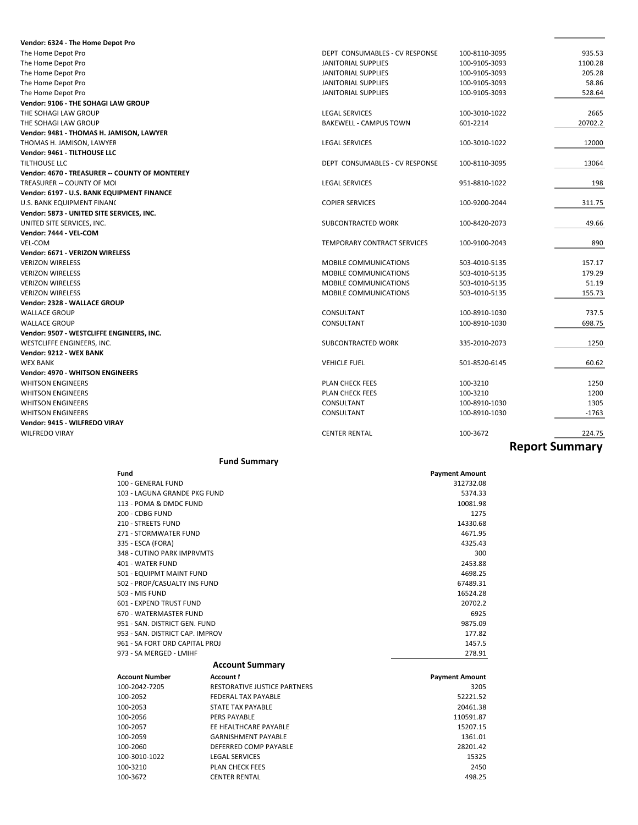| Vendor: 6324 - The Home Depot Pro              |                                |               |         |
|------------------------------------------------|--------------------------------|---------------|---------|
| The Home Depot Pro                             | DEPT CONSUMABLES - CV RESPONSE | 100-8110-3095 | 935.53  |
| The Home Depot Pro                             | <b>JANITORIAL SUPPLIES</b>     | 100-9105-3093 | 1100.28 |
| The Home Depot Pro                             | <b>JANITORIAL SUPPLIES</b>     | 100-9105-3093 | 205.28  |
| The Home Depot Pro                             | JANITORIAL SUPPLIES            | 100-9105-3093 | 58.86   |
| The Home Depot Pro                             | <b>JANITORIAL SUPPLIES</b>     | 100-9105-3093 | 528.64  |
| Vendor: 9106 - THE SOHAGI LAW GROUP            |                                |               |         |
| THE SOHAGI LAW GROUP                           | LEGAL SERVICES                 | 100-3010-1022 | 2665    |
| THE SOHAGI LAW GROUP                           | <b>BAKEWELL - CAMPUS TOWN</b>  | 601-2214      | 20702.2 |
| Vendor: 9481 - THOMAS H. JAMISON, LAWYER       |                                |               |         |
| THOMAS H. JAMISON, LAWYER                      | <b>LEGAL SERVICES</b>          | 100-3010-1022 | 12000   |
| Vendor: 9461 - TILTHOUSE LLC                   |                                |               |         |
| <b>TILTHOUSE LLC</b>                           | DEPT CONSUMABLES - CV RESPONSE | 100-8110-3095 | 13064   |
| Vendor: 4670 - TREASURER -- COUNTY OF MONTEREY |                                |               |         |
| TREASURER -- COUNTY OF MOI                     | <b>LEGAL SERVICES</b>          | 951-8810-1022 | 198     |
| Vendor: 6197 - U.S. BANK EQUIPMENT FINANCE     |                                |               |         |
| U.S. BANK EQUIPMENT FINANC                     | <b>COPIER SERVICES</b>         | 100-9200-2044 | 311.75  |
| Vendor: 5873 - UNITED SITE SERVICES, INC.      |                                |               |         |
| UNITED SITE SERVICES, INC.                     | SUBCONTRACTED WORK             | 100-8420-2073 | 49.66   |
| Vendor: 7444 - VEL-COM                         |                                |               |         |
| <b>VEL-COM</b>                                 | TEMPORARY CONTRACT SERVICES    | 100-9100-2043 | 890     |
| Vendor: 6671 - VERIZON WIRELESS                |                                |               |         |
| <b>VERIZON WIRELESS</b>                        | <b>MOBILE COMMUNICATIONS</b>   | 503-4010-5135 | 157.17  |
| <b>VERIZON WIRELESS</b>                        | <b>MOBILE COMMUNICATIONS</b>   | 503-4010-5135 | 179.29  |
| <b>VERIZON WIRELESS</b>                        | MOBILE COMMUNICATIONS          | 503-4010-5135 | 51.19   |
| <b>VERIZON WIRELESS</b>                        | <b>MOBILE COMMUNICATIONS</b>   | 503-4010-5135 | 155.73  |
| Vendor: 2328 - WALLACE GROUP                   |                                |               |         |
| <b>WALLACE GROUP</b>                           | CONSULTANT                     | 100-8910-1030 | 737.5   |
| <b>WALLACE GROUP</b>                           | CONSULTANT                     | 100-8910-1030 | 698.75  |
| Vendor: 9507 - WESTCLIFFE ENGINEERS, INC.      |                                |               |         |
| WESTCLIFFE ENGINEERS, INC.                     | SUBCONTRACTED WORK             | 335-2010-2073 | 1250    |
| Vendor: 9212 - WEX BANK                        |                                |               |         |
| <b>WEX BANK</b>                                | <b>VEHICLE FUEL</b>            | 501-8520-6145 | 60.62   |
| <b>Vendor: 4970 - WHITSON ENGINEERS</b>        |                                |               |         |
| <b>WHITSON ENGINEERS</b>                       | PLAN CHECK FEES                | 100-3210      | 1250    |
| <b>WHITSON ENGINEERS</b>                       | <b>PLAN CHECK FEES</b>         | 100-3210      | 1200    |
| <b>WHITSON ENGINEERS</b>                       | CONSULTANT                     | 100-8910-1030 | 1305    |
| <b>WHITSON ENGINEERS</b>                       | CONSULTANT                     | 100-8910-1030 | $-1763$ |
| Vendor: 9415 - WILFREDO VIRAY                  |                                |               |         |
| <b>WILFREDO VIRAY</b>                          | <b>CENTER RENTAL</b>           | 100-3672      | 224.75  |
|                                                |                                |               |         |

### **Fund Summary**

| Fund                            |                                     | <b>Payment Amount</b> |
|---------------------------------|-------------------------------------|-----------------------|
| 100 - GENERAL FUND              |                                     | 312732.08             |
| 103 - LAGUNA GRANDE PKG FUND    |                                     | 5374.33               |
| 113 - POMA & DMDC FUND          |                                     | 10081.98              |
| 200 - CDBG FUND                 |                                     | 1275                  |
| 210 - STREETS FUND              |                                     | 14330.68              |
| 271 - STORMWATER FUND           |                                     | 4671.95               |
| 335 - ESCA (FORA)               |                                     | 4325.43               |
| 348 - CUTINO PARK IMPRVMTS      |                                     | 300                   |
| 401 - WATER FUND                |                                     | 2453.88               |
| 501 - EQUIPMT MAINT FUND        |                                     | 4698.25               |
| 502 - PROP/CASUALTY INS FUND    |                                     | 67489.31              |
| 503 - MIS FUND                  |                                     | 16524.28              |
| 601 - EXPEND TRUST FUND         |                                     | 20702.2               |
| 670 - WATERMASTER FUND          |                                     | 6925                  |
| 951 - SAN, DISTRICT GEN, FUND   |                                     | 9875.09               |
| 953 - SAN, DISTRICT CAP, IMPROV |                                     | 177.82                |
| 961 - SA FORT ORD CAPITAL PROJ  |                                     | 1457.5                |
| 973 - SA MERGED - LMIHF         |                                     | 278.91                |
|                                 | <b>Account Summary</b>              |                       |
| <b>Account Number</b>           | Account I                           | <b>Payment Amount</b> |
| 100-2042-7205                   | <b>RESTORATIVE JUSTICE PARTNERS</b> | 3205                  |
| 100-2052                        | FEDERAL TAX PAYABLE                 | 52221.52              |
| 100-2053                        | <b>STATE TAX PAYABLE</b>            | 20461.38              |
| 100-2056                        | PERS PAYABLE                        | 110591.87             |
| 100-2057                        | EE HEALTHCARE PAYABLE               | 15207.15              |
| 100-2059                        | <b>GARNISHMENT PAYABLE</b>          | 1361.01               |
|                                 |                                     |                       |

100‐2060 DEFERRED COMP PAYABLE 28201.42 100‐3010‐1022 LEGAL SERVICES 2009 LEGAL SERVICES 100‐3210 PLAN CHECK FEES 2450 100‐3672 CENTER RENTAL 498.25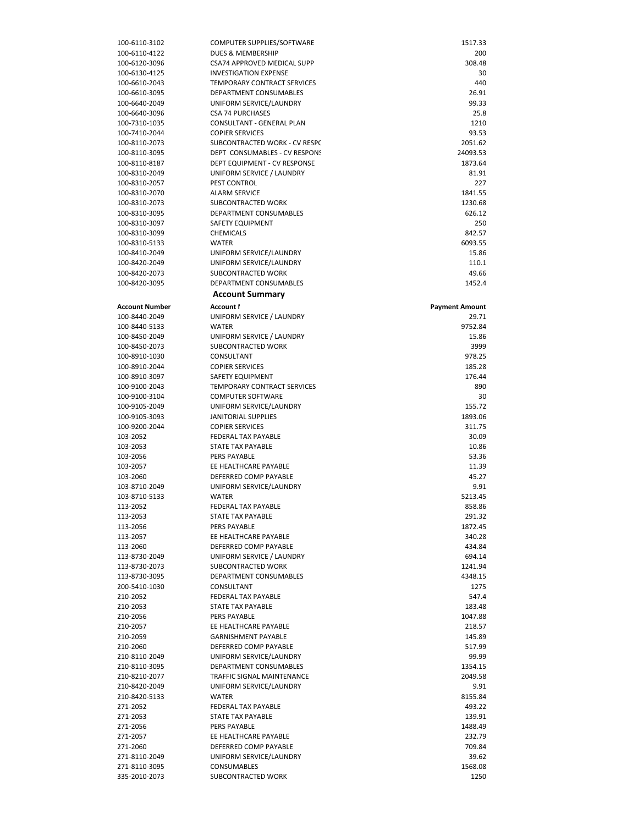| 100-6110-3102                  | COMPUTER SUPPLIES/SOFTWARE                      | 1517.33               |
|--------------------------------|-------------------------------------------------|-----------------------|
| 100-6110-4122                  | DUES & MEMBERSHIP                               | 200                   |
| 100-6120-3096                  | CSA74 APPROVED MEDICAL SUPP                     | 308.48                |
| 100-6130-4125                  | <b>INVESTIGATION EXPENSE</b>                    | 30                    |
| 100-6610-2043                  | TEMPORARY CONTRACT SERVICES                     | 440                   |
| 100-6610-3095                  | DEPARTMENT CONSUMABLES                          | 26.91                 |
| 100-6640-2049                  | UNIFORM SERVICE/LAUNDRY                         | 99.33                 |
| 100-6640-3096                  | <b>CSA 74 PURCHASES</b>                         | 25.8                  |
| 100-7310-1035                  | CONSULTANT - GENERAL PLAN                       | 1210                  |
| 100-7410-2044                  | <b>COPIER SERVICES</b>                          | 93.53                 |
| 100-8110-2073                  | SUBCONTRACTED WORK - CV RESP(                   | 2051.62               |
| 100-8110-3095                  | DEPT CONSUMABLES - CV RESPONS                   | 24093.53              |
| 100-8110-8187<br>100-8310-2049 | DEPT EQUIPMENT - CV RESPONSE                    | 1873.64               |
|                                | UNIFORM SERVICE / LAUNDRY<br>PEST CONTROL       | 81.91<br>227          |
| 100-8310-2057                  | <b>ALARM SERVICE</b>                            | 1841.55               |
| 100-8310-2070<br>100-8310-2073 | SUBCONTRACTED WORK                              | 1230.68               |
| 100-8310-3095                  | DEPARTMENT CONSUMABLES                          | 626.12                |
| 100-8310-3097                  | SAFETY EQUIPMENT                                | 250                   |
| 100-8310-3099                  | <b>CHEMICALS</b>                                | 842.57                |
| 100-8310-5133                  | <b>WATER</b>                                    | 6093.55               |
| 100-8410-2049                  | UNIFORM SERVICE/LAUNDRY                         | 15.86                 |
| 100-8420-2049                  | UNIFORM SERVICE/LAUNDRY                         | 110.1                 |
| 100-8420-2073                  | SUBCONTRACTED WORK                              | 49.66                 |
| 100-8420-3095                  | DEPARTMENT CONSUMABLES                          | 1452.4                |
|                                | <b>Account Summary</b>                          |                       |
|                                |                                                 |                       |
| <b>Account Number</b>          | Account I                                       | <b>Payment Amount</b> |
| 100-8440-2049                  | UNIFORM SERVICE / LAUNDRY                       | 29.71                 |
| 100-8440-5133                  | <b>WATER</b>                                    | 9752.84               |
| 100-8450-2049                  | UNIFORM SERVICE / LAUNDRY                       | 15.86                 |
| 100-8450-2073                  | SUBCONTRACTED WORK<br>CONSULTANT                | 3999<br>978.25        |
| 100-8910-1030                  | <b>COPIER SERVICES</b>                          | 185.28                |
| 100-8910-2044<br>100-8910-3097 |                                                 | 176.44                |
| 100-9100-2043                  | SAFETY EQUIPMENT<br>TEMPORARY CONTRACT SERVICES | 890                   |
| 100-9100-3104                  | <b>COMPUTER SOFTWARE</b>                        | 30                    |
| 100-9105-2049                  | UNIFORM SERVICE/LAUNDRY                         | 155.72                |
| 100-9105-3093                  | <b>JANITORIAL SUPPLIES</b>                      | 1893.06               |
| 100-9200-2044                  | <b>COPIER SERVICES</b>                          | 311.75                |
| 103-2052                       | FEDERAL TAX PAYABLE                             | 30.09                 |
| 103-2053                       | STATE TAX PAYABLE                               | 10.86                 |
| 103-2056                       | PERS PAYABLE                                    | 53.36                 |
| 103-2057                       | EE HEALTHCARE PAYABLE                           | 11.39                 |
| 103-2060                       | DEFERRED COMP PAYABLE                           | 45.27                 |
| 103-8710-2049                  | UNIFORM SERVICE/LAUNDRY                         | 9.91                  |
| 103-8710-5133                  | WATER                                           | 5213.45               |
| 113-2052                       | FEDERAL TAX PAYABLE                             | 858.86                |
| 113-2053                       | STATE TAX PAYABLE                               | 291.32                |
| 113-2056                       | PERS PAYABLE                                    | 1872.45               |
| 113-2057                       | EE HEALTHCARE PAYABLE                           | 340.28                |
| 113-2060                       | DEFERRED COMP PAYABLE                           | 434.84                |
| 113-8730-2049                  | UNIFORM SERVICE / LAUNDRY                       | 694.14                |
| 113-8730-2073                  | SUBCONTRACTED WORK                              | 1241.94               |
| 113-8730-3095                  | DEPARTMENT CONSUMABLES                          | 4348.15               |
| 200-5410-1030                  | CONSULTANT                                      | 1275                  |
| 210-2052                       | FEDERAL TAX PAYABLE                             | 547.4                 |
| 210-2053                       | STATE TAX PAYABLE                               | 183.48                |
| 210-2056                       | PERS PAYABLE                                    | 1047.88               |
| 210-2057                       | EE HEALTHCARE PAYABLE                           | 218.57                |
| 210-2059                       | <b>GARNISHMENT PAYABLE</b>                      | 145.89                |
| 210-2060                       | DEFERRED COMP PAYABLE                           | 517.99                |
| 210-8110-2049                  | UNIFORM SERVICE/LAUNDRY                         | 99.99                 |
| 210-8110-3095                  | DEPARTMENT CONSUMABLES                          | 1354.15               |
| 210-8210-2077                  | TRAFFIC SIGNAL MAINTENANCE                      | 2049.58               |
| 210-8420-2049                  | UNIFORM SERVICE/LAUNDRY                         | 9.91                  |
| 210-8420-5133                  | WATER                                           | 8155.84               |
| 271-2052                       | FEDERAL TAX PAYABLE                             | 493.22                |
| 271-2053                       | STATE TAX PAYABLE                               | 139.91                |
| 271-2056                       | PERS PAYABLE                                    | 1488.49               |
| 271-2057                       | EE HEALTHCARE PAYABLE                           | 232.79                |
| 271-2060                       | DEFERRED COMP PAYABLE                           | 709.84                |
| 271-8110-2049<br>271-8110-3095 | UNIFORM SERVICE/LAUNDRY<br>CONSUMABLES          | 39.62<br>1568.08      |
| 335-2010-2073                  | SUBCONTRACTED WORK                              | 1250                  |
|                                |                                                 |                       |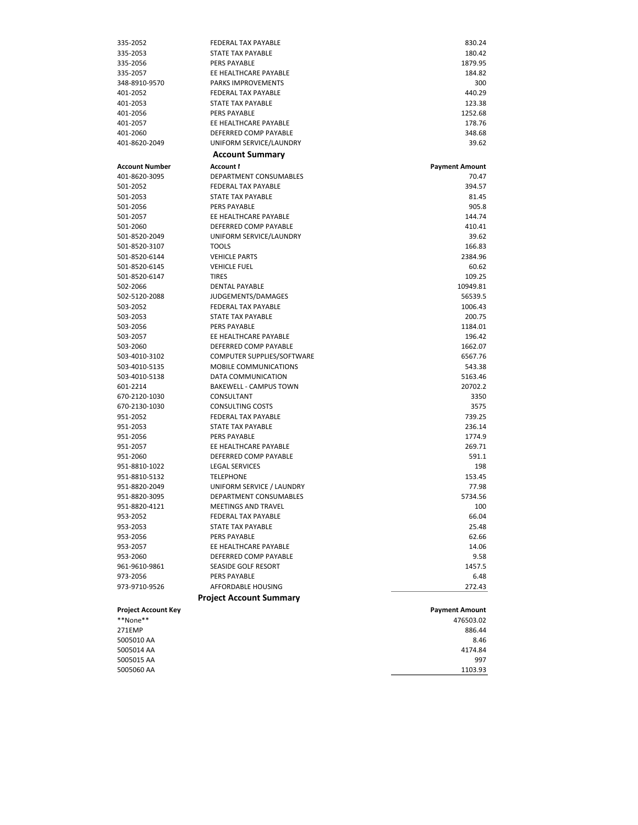| 335-2052                   | FEDERAL TAX PAYABLE                                 | 830.24                |
|----------------------------|-----------------------------------------------------|-----------------------|
| 335-2053                   | STATE TAX PAYABLE                                   | 180.42                |
| 335-2056                   | PERS PAYABLE                                        | 1879.95               |
| 335-2057                   | EE HEALTHCARE PAYABLE                               | 184.82                |
| 348-8910-9570              | PARKS IMPROVEMENTS                                  | 300                   |
| 401-2052                   | <b>FEDERAL TAX PAYABLE</b>                          | 440.29                |
| 401-2053                   | STATE TAX PAYABLE                                   | 123.38                |
| 401-2056                   | <b>PERS PAYABLE</b>                                 | 1252.68               |
| 401-2057                   | EE HEALTHCARE PAYABLE                               | 178.76                |
| 401-2060                   | DEFERRED COMP PAYABLE                               | 348.68                |
| 401-8620-2049              | UNIFORM SERVICE/LAUNDRY                             | 39.62                 |
|                            | <b>Account Summary</b>                              |                       |
| <b>Account Number</b>      | Account I                                           | <b>Payment Amount</b> |
| 401-8620-3095              | DEPARTMENT CONSUMABLES                              | 70.47                 |
| 501-2052                   | FEDERAL TAX PAYABLE                                 | 394.57                |
| 501-2053                   | STATE TAX PAYABLE                                   | 81.45                 |
| 501-2056                   | PERS PAYABLE                                        | 905.8                 |
| 501-2057                   | EE HEALTHCARE PAYABLE                               | 144.74                |
| 501-2060                   | DEFERRED COMP PAYABLE                               | 410.41                |
| 501-8520-2049              | UNIFORM SERVICE/LAUNDRY                             | 39.62                 |
| 501-8520-3107              | <b>TOOLS</b>                                        | 166.83                |
| 501-8520-6144              | <b>VEHICLE PARTS</b>                                | 2384.96               |
| 501-8520-6145              | <b>VEHICLE FUEL</b>                                 | 60.62                 |
| 501-8520-6147              | <b>TIRES</b>                                        | 109.25                |
| 502-2066                   | <b>DENTAL PAYABLE</b>                               | 10949.81              |
| 502-5120-2088              | JUDGEMENTS/DAMAGES                                  | 56539.5               |
| 503-2052                   | FEDERAL TAX PAYABLE                                 | 1006.43               |
| 503-2053                   | <b>STATE TAX PAYABLE</b>                            | 200.75                |
| 503-2056                   | PERS PAYABLE                                        | 1184.01               |
| 503-2057                   | EE HEALTHCARE PAYABLE                               | 196.42                |
| 503-2060                   | DEFERRED COMP PAYABLE                               | 1662.07               |
| 503-4010-3102              | COMPUTER SUPPLIES/SOFTWARE<br>MOBILE COMMUNICATIONS | 6567.76<br>543.38     |
| 503-4010-5135              | DATA COMMUNICATION                                  | 5163.46               |
| 503-4010-5138<br>601-2214  | <b>BAKEWELL - CAMPUS TOWN</b>                       | 20702.2               |
| 670-2120-1030              | CONSULTANT                                          | 3350                  |
| 670-2130-1030              | CONSULTING COSTS                                    | 3575                  |
| 951-2052                   | FEDERAL TAX PAYABLE                                 | 739.25                |
| 951-2053                   | STATE TAX PAYABLE                                   | 236.14                |
| 951-2056                   | PERS PAYABLE                                        | 1774.9                |
| 951-2057                   | EE HEALTHCARE PAYABLE                               | 269.71                |
| 951-2060                   | DEFERRED COMP PAYABLE                               | 591.1                 |
| 951-8810-1022              | <b>LEGAL SERVICES</b>                               | 198                   |
| 951-8810-5132              | <b>TELEPHONE</b>                                    | 153.45                |
| 951-8820-2049              | UNIFORM SERVICE / LAUNDRY                           | 77.98                 |
| 951-8820-3095              | DEPARTMENT CONSUMABLES                              | 5734.56               |
| 951-8820-4121              | MEETINGS AND TRAVEL                                 | 100                   |
| 953-2052                   | FEDERAL TAX PAYABLE                                 | 66.04                 |
| 953-2053                   | <b>STATE TAX PAYABLE</b>                            | 25.48                 |
| 953-2056                   | PERS PAYABLE                                        | 62.66                 |
| 953-2057                   | EE HEALTHCARE PAYABLE                               | 14.06                 |
| 953-2060                   | DEFERRED COMP PAYABLE                               | 9.58                  |
| 961-9610-9861              | SEASIDE GOLF RESORT                                 | 1457.5                |
| 973-2056                   | PERS PAYABLE                                        | 6.48                  |
| 973-9710-9526              | AFFORDABLE HOUSING                                  | 272.43                |
|                            | <b>Project Account Summary</b>                      |                       |
| <b>Project Account Key</b> |                                                     | <b>Payment Amount</b> |
| **None**                   |                                                     | 476503.02             |
| 271EMP                     |                                                     | 886.44                |
| 5005010 AA                 |                                                     | 8.46                  |
| 5005014 AA                 |                                                     | 4174.84               |
| 5005015 AA                 |                                                     | 997                   |
| 5005060 AA                 |                                                     | 1103.93               |
|                            |                                                     |                       |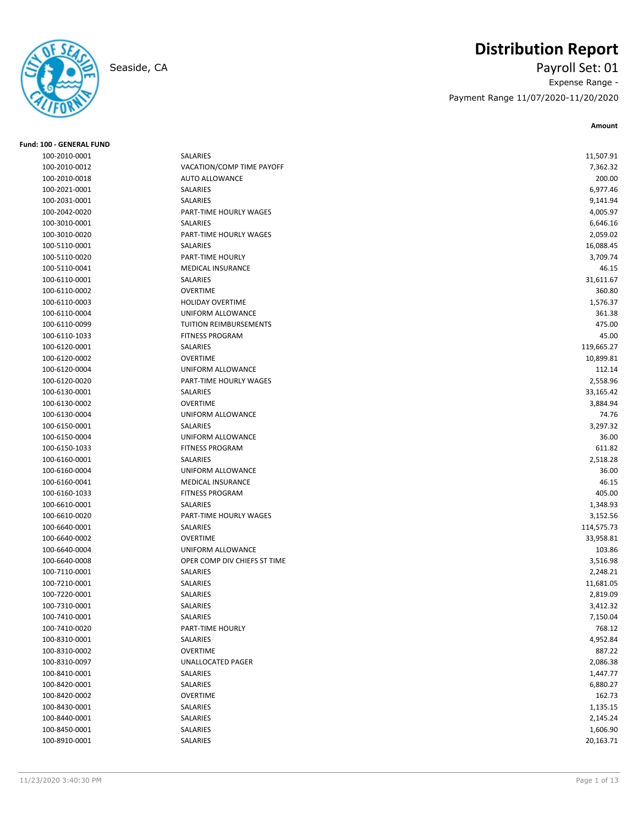

# **Distribution Report**

Seaside, CA Payroll Set: 01 Expense Range - Payment Range 11/07/2020-11/20/2020

| <b>Fund: 100 - GENERAL FUND</b> |                              |            |
|---------------------------------|------------------------------|------------|
| 100-2010-0001                   | <b>SALARIES</b>              | 11,507.91  |
| 100-2010-0012                   | VACATION/COMP TIME PAYOFF    | 7,362.32   |
| 100-2010-0018                   | <b>AUTO ALLOWANCE</b>        | 200.00     |
| 100-2021-0001                   | SALARIES                     | 6,977.46   |
| 100-2031-0001                   | <b>SALARIES</b>              | 9,141.94   |
| 100-2042-0020                   | PART-TIME HOURLY WAGES       | 4,005.97   |
| 100-3010-0001                   | SALARIES                     | 6,646.16   |
| 100-3010-0020                   | PART-TIME HOURLY WAGES       | 2,059.02   |
| 100-5110-0001                   | SALARIES                     | 16,088.45  |
| 100-5110-0020                   | PART-TIME HOURLY             | 3,709.74   |
| 100-5110-0041                   | <b>MEDICAL INSURANCE</b>     | 46.15      |
| 100-6110-0001                   | SALARIES                     | 31,611.67  |
| 100-6110-0002                   | <b>OVERTIME</b>              | 360.80     |
| 100-6110-0003                   | <b>HOLIDAY OVERTIME</b>      | 1,576.37   |
| 100-6110-0004                   | UNIFORM ALLOWANCE            | 361.38     |
| 100-6110-0099                   | TUITION REIMBURSEMENTS       | 475.00     |
| 100-6110-1033                   | <b>FITNESS PROGRAM</b>       | 45.00      |
| 100-6120-0001                   | SALARIES                     | 119,665.27 |
| 100-6120-0002                   | <b>OVERTIME</b>              | 10,899.81  |
| 100-6120-0004                   | UNIFORM ALLOWANCE            | 112.14     |
| 100-6120-0020                   | PART-TIME HOURLY WAGES       | 2,558.96   |
| 100-6130-0001                   | <b>SALARIES</b>              | 33,165.42  |
| 100-6130-0002                   | <b>OVERTIME</b>              | 3,884.94   |
| 100-6130-0004                   | UNIFORM ALLOWANCE            | 74.76      |
| 100-6150-0001                   | SALARIES                     | 3,297.32   |
|                                 | <b>UNIFORM ALLOWANCE</b>     | 36.00      |
| 100-6150-0004<br>100-6150-1033  | <b>FITNESS PROGRAM</b>       | 611.82     |
|                                 | SALARIES                     |            |
| 100-6160-0001                   |                              | 2,518.28   |
| 100-6160-0004                   | UNIFORM ALLOWANCE            | 36.00      |
| 100-6160-0041                   | <b>MEDICAL INSURANCE</b>     | 46.15      |
| 100-6160-1033                   | <b>FITNESS PROGRAM</b>       | 405.00     |
| 100-6610-0001                   | <b>SALARIES</b>              | 1,348.93   |
| 100-6610-0020                   | PART-TIME HOURLY WAGES       | 3,152.56   |
| 100-6640-0001                   | SALARIES                     | 114,575.73 |
| 100-6640-0002                   | <b>OVERTIME</b>              | 33,958.81  |
| 100-6640-0004                   | UNIFORM ALLOWANCE            | 103.86     |
| 100-6640-0008                   | OPER COMP DIV CHIEFS ST TIME | 3,516.98   |
| 100-7110-0001                   | SALARIES                     | 2,248.21   |
| 100-7210-0001                   | SALARIES                     | 11,681.05  |
| 100-7220-0001                   | SALARIES                     | 2,819.09   |
| 100-7310-0001                   | SALARIES                     | 3,412.32   |
| 100-7410-0001                   | SALARIES                     | 7,150.04   |
| 100-7410-0020                   | PART-TIME HOURLY             | 768.12     |
| 100-8310-0001                   | SALARIES                     | 4,952.84   |
| 100-8310-0002                   | <b>OVERTIME</b>              | 887.22     |
| 100-8310-0097                   | UNALLOCATED PAGER            | 2,086.38   |
| 100-8410-0001                   | SALARIES                     | 1,447.77   |
| 100-8420-0001                   | SALARIES                     | 6,880.27   |
| 100-8420-0002                   | <b>OVERTIME</b>              | 162.73     |
| 100-8430-0001                   | SALARIES                     | 1,135.15   |
| 100-8440-0001                   | SALARIES                     | 2,145.24   |
| 100-8450-0001                   | SALARIES                     | 1,606.90   |
| 100-8910-0001                   | SALARIES                     | 20,163.71  |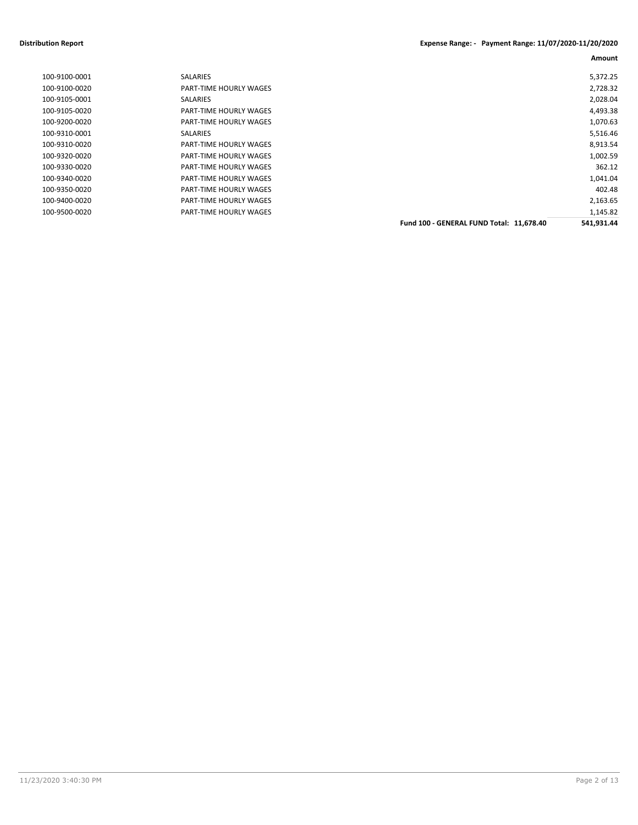### **Distribution Report Expense Range: - Payment Range: 11/07/2020-11/20/2020**

| SALARIES               |                                          | 5,372.25   |
|------------------------|------------------------------------------|------------|
| PART-TIME HOURLY WAGES |                                          | 2,728.32   |
| <b>SALARIES</b>        |                                          | 2,028.04   |
| PART-TIME HOURLY WAGES |                                          | 4,493.38   |
| PART-TIME HOURLY WAGES |                                          | 1,070.63   |
| SALARIES               |                                          | 5,516.46   |
| PART-TIME HOURLY WAGES |                                          | 8,913.54   |
| PART-TIME HOURLY WAGES |                                          | 1,002.59   |
| PART-TIME HOURLY WAGES |                                          | 362.12     |
| PART-TIME HOURLY WAGES |                                          | 1,041.04   |
| PART-TIME HOURLY WAGES |                                          | 402.48     |
| PART-TIME HOURLY WAGES |                                          | 2,163.65   |
| PART-TIME HOURLY WAGES |                                          | 1,145.82   |
|                        | Fund 100 - GENERAL FUND Total: 11,678.40 | 541,931.44 |
|                        |                                          |            |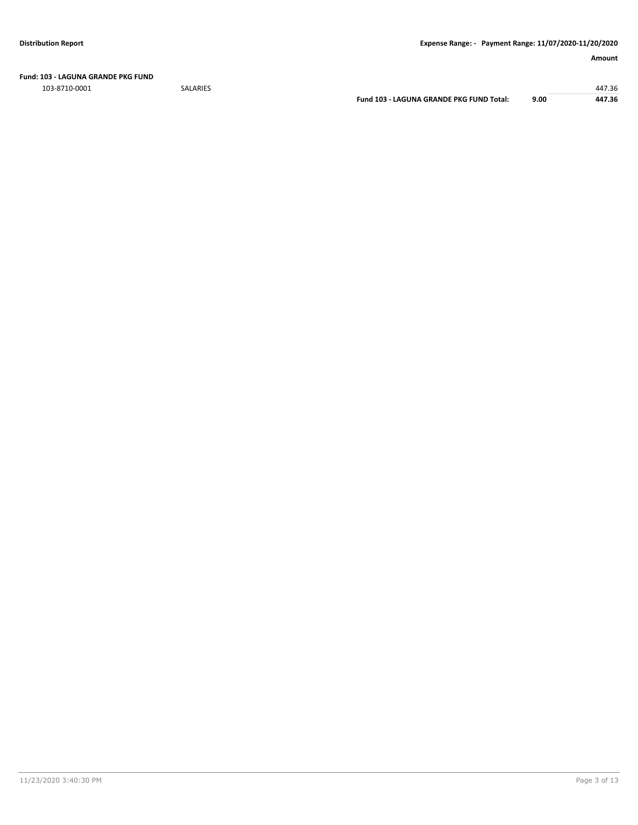**Fund: 103 - LAGUNA GRANDE PKG FUND**

103-8710-0001 SALARIES 447.36

**Fund 103 - LAGUNA GRANDE PKG FUND Total: 9.00 447.36**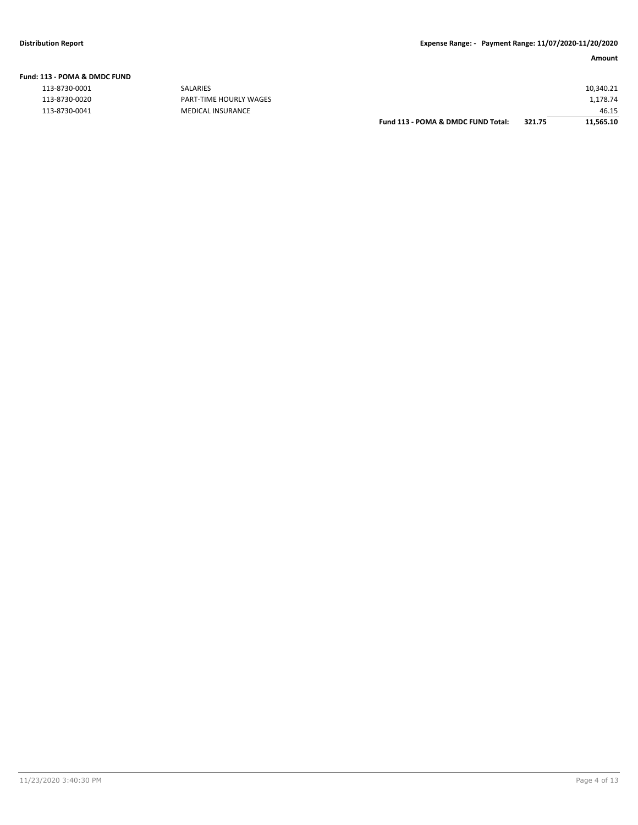| Fund: 113 - POMA & DMDC FUND |  |  |  |
|------------------------------|--|--|--|
|                              |  |  |  |

| 113-8730-0001          |  |
|------------------------|--|
| 113-8730-0020          |  |
| 112 0720 00 <i>1</i> 1 |  |

| 10,340.21 |
|-----------|
| 1,178.74  |
| 46.15     |
| 11,565.10 |
|           |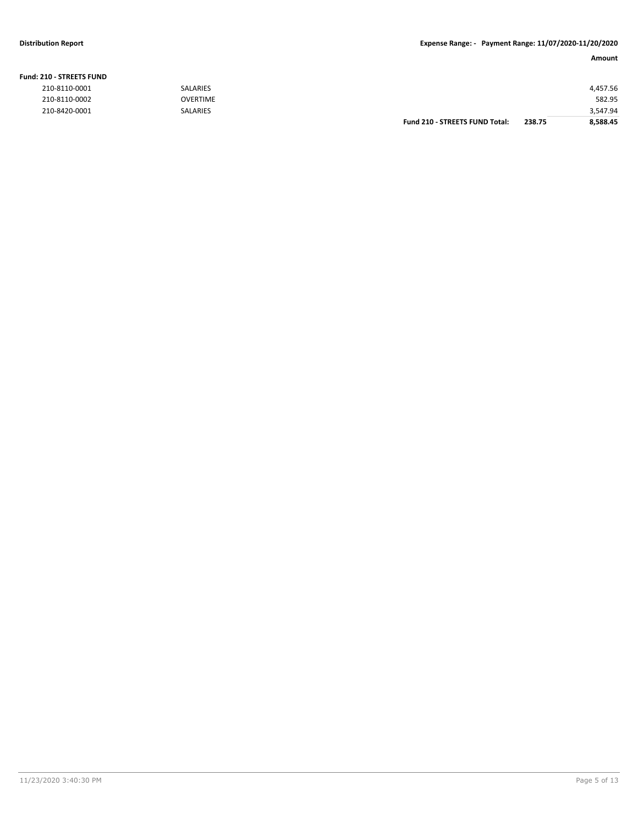#### **Fund: 210 - STREETS FUND**

| 210-8110-0001 | SALARIES        |                                       |        | 4,457.56 |
|---------------|-----------------|---------------------------------------|--------|----------|
| 210-8110-0002 | OVERTIME        |                                       |        | 582.95   |
| 210-8420-0001 | <b>SALARIES</b> |                                       |        | 3,547.94 |
|               |                 | <b>Fund 210 - STREETS FUND Total:</b> | 238.75 | 8,588.45 |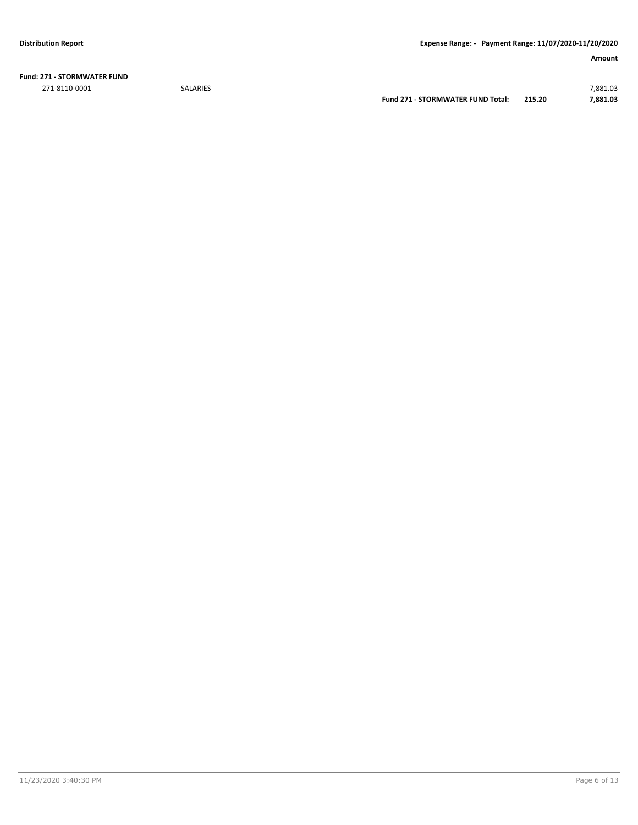**Fund: 271 - STORMWATER FUND** 271-8110-0001 SALARIES 7,881.03

**Fund 271 - STORMWATER FUND Total: 215.20 7,881.03**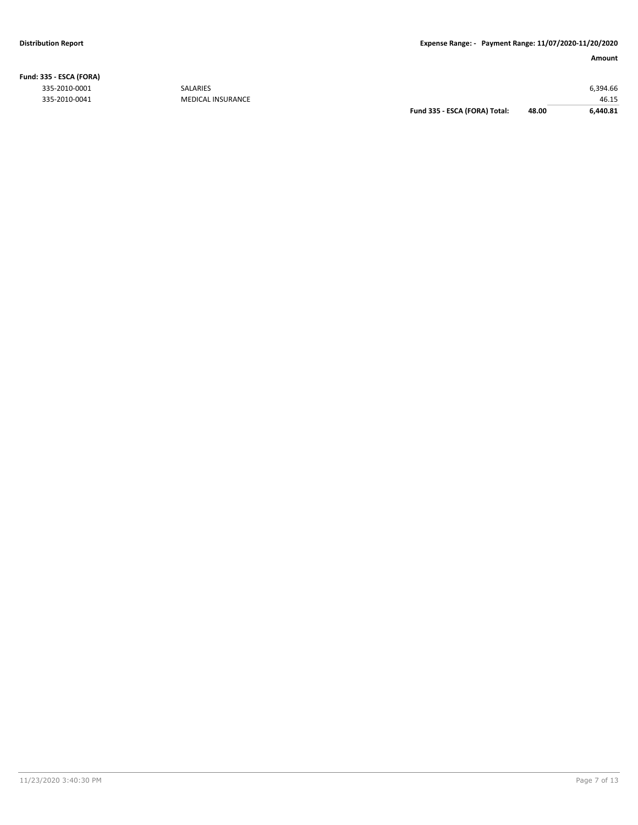**Fund: 335 - ESCA (FORA)**

#### **Amount**

335-2010-0001 SALARIES 6,394.66 46.15<br>46.15 MEDICAL INSURANCE **1999 Terminal State of Case of Case of Case of Case of Case of Act a** Fund 335 - ESCA (FORA) Total: 48.00 **Fund 335 - ESCA (FORA) Total: 48.00 6,440.81**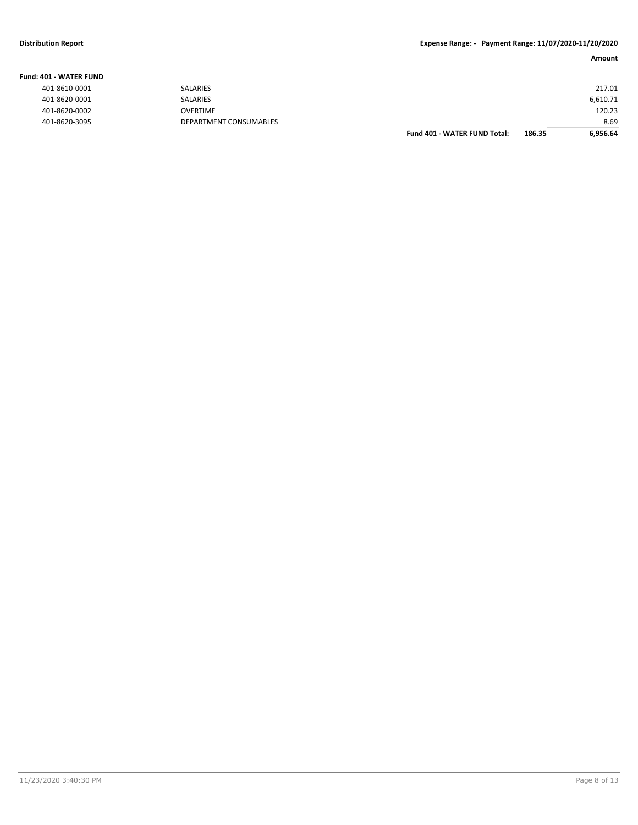#### **Fund: 401 - WATER FUND**

| 401-8610-0001 |
|---------------|
| 401-8620-0001 |
| 401-8620-0002 |
| 401-8620-3095 |

| IO1 - WATER FUND |                        |                                     |        |          |
|------------------|------------------------|-------------------------------------|--------|----------|
| 401-8610-0001    | SALARIES               |                                     |        | 217.01   |
| 401-8620-0001    | SALARIES               |                                     |        | 6,610.71 |
| 401-8620-0002    | OVERTIME               |                                     |        | 120.23   |
| 401-8620-3095    | DEPARTMENT CONSUMABLES |                                     |        | 8.69     |
|                  |                        | <b>Fund 401 - WATER FUND Total:</b> | 186.35 | 6,956.64 |
|                  |                        |                                     |        |          |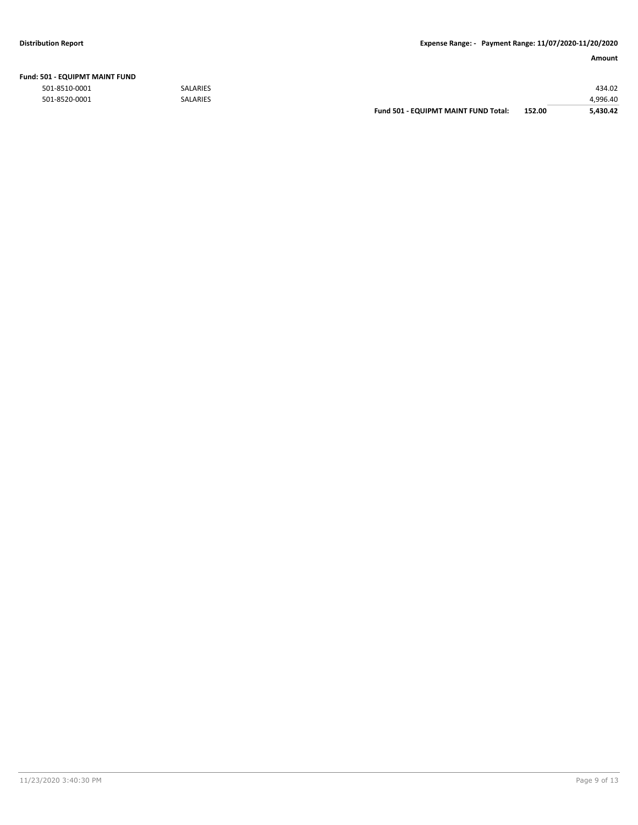| <b>Fund: 501 - EQUIPMT MAINT FUND</b> |  |
|---------------------------------------|--|
|---------------------------------------|--|

|               |                 | <b>Fund 501 - EQUIPMT MAINT FUND Total:</b> | 152.00 | 5.430.42 |
|---------------|-----------------|---------------------------------------------|--------|----------|
| 501-8520-0001 | <b>SALARIES</b> |                                             |        | 4,996.40 |
| 501-8510-0001 | <b>SALARIES</b> |                                             |        | 434.02   |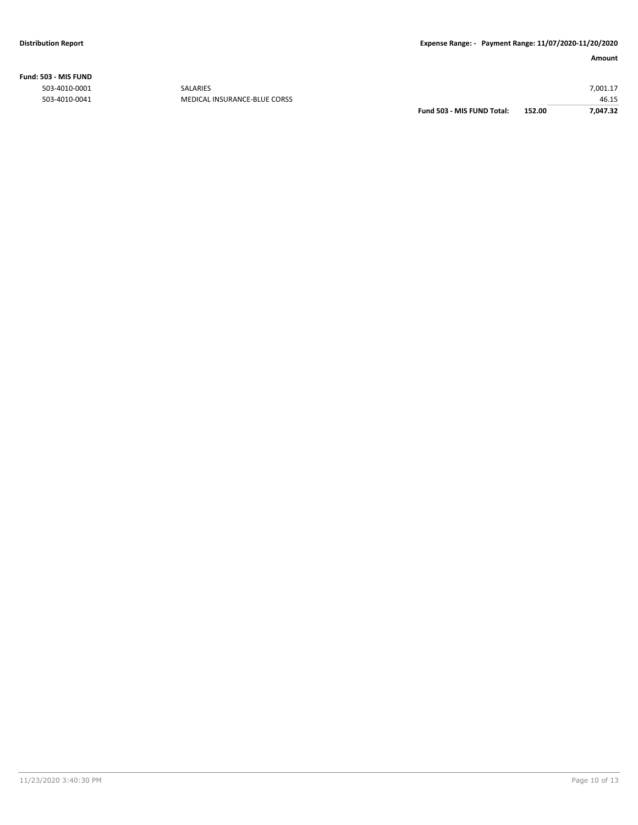**Fund: 503 - MIS FUND**

| 7.047.32 |
|----------|
| 46.15    |
| 7,001.17 |
|          |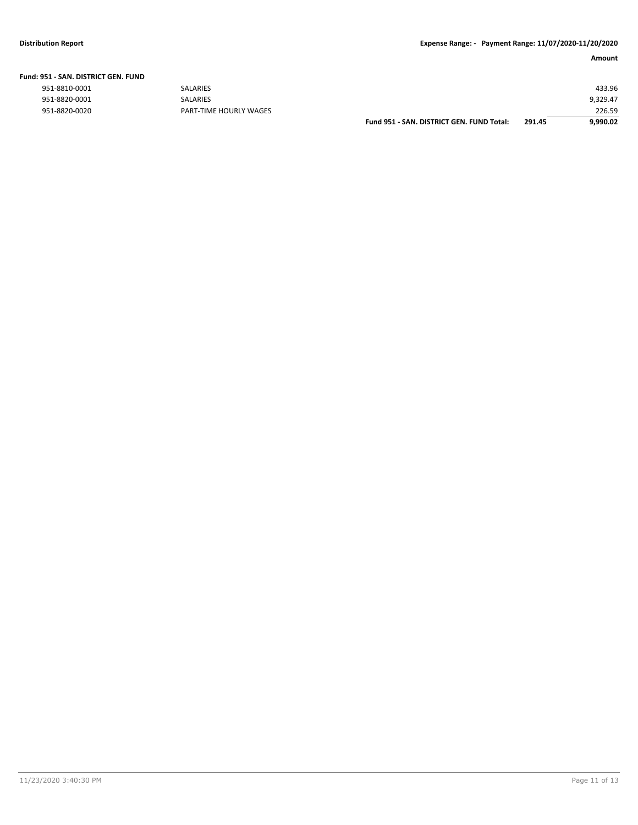### **Fund: 951 - SAN. DISTRICT GEN. FUND**

| 951-8810-0001 |  |
|---------------|--|
| 951-8820-0001 |  |
| 951-8820-0020 |  |

| 951-8810-0001 | <b>SALARIES</b>        |                                           |        | 433.96   |
|---------------|------------------------|-------------------------------------------|--------|----------|
| 951-8820-0001 | <b>SALARIES</b>        |                                           |        | 9,329.47 |
| 951-8820-0020 | PART-TIME HOURLY WAGES |                                           |        | 226.59   |
|               |                        | Fund 951 - SAN, DISTRICT GEN, FUND Total: | 291.45 | 9,990.02 |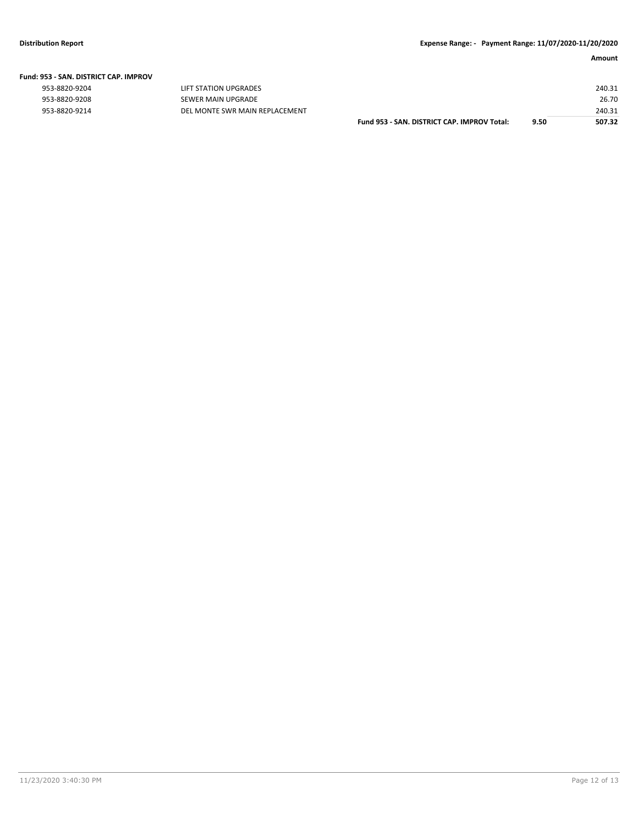#### **Fund: 953 - SAN. DISTRICT CAP. IMPROV**

| 953-8820-9204 | LIFT STATION UPGRADES          |                                             |      | 240.31 |
|---------------|--------------------------------|---------------------------------------------|------|--------|
| 953-8820-9208 | SEWER MAIN UPGRADE             |                                             |      | 26.70  |
| 953-8820-9214 | DEL MONTE SWR MAIN REPLACEMENT |                                             |      | 240.31 |
|               |                                | Fund 953 - SAN, DISTRICT CAP, IMPROV Total: | 9.50 | 507.32 |

| - SAN. DISTRICT CAP. IMPROV Total: | 9.50 | 507.32 |
|------------------------------------|------|--------|
|                                    |      | 240.31 |
|                                    |      | 26.70  |
|                                    |      | 240.31 |
|                                    |      |        |